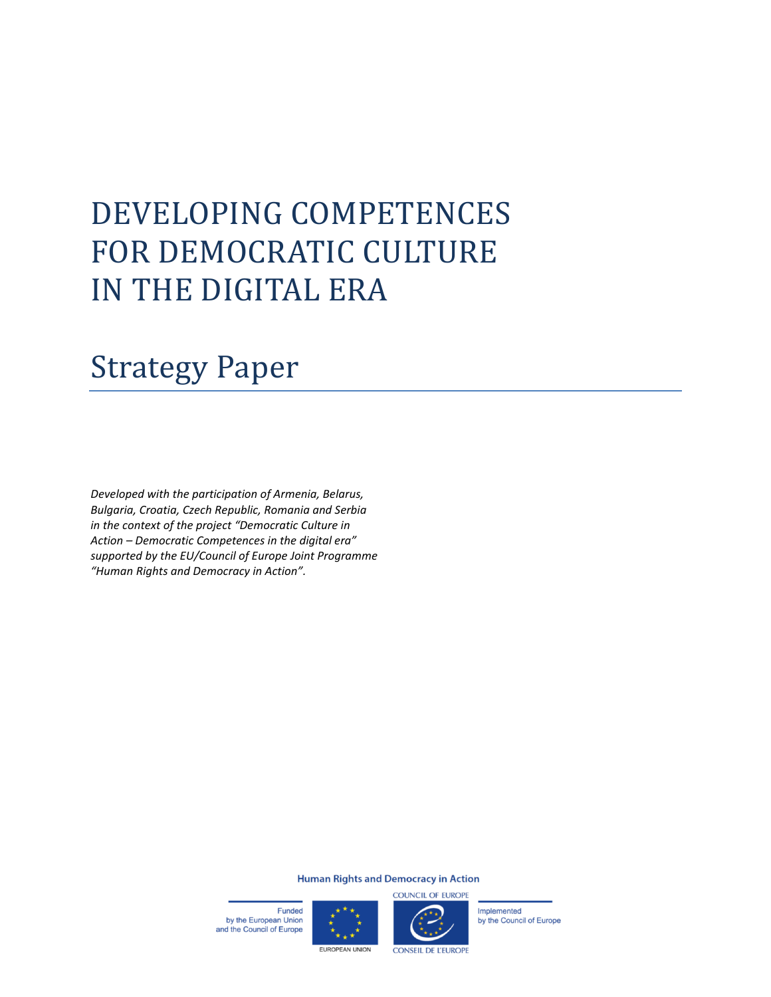# DEVELOPING COMPETENCES FOR DEMOCRATIC CULTURE IN THE DIGITAL ERA

# Strategy Paper

*Developed with the participation of Armenia, Belarus, Bulgaria, Croatia, Czech Republic, Romania and Serbia in the context of the project "Democratic Culture in Action – Democratic Competences in the digital era" supported by the EU/Council of Europe Joint Programme "Human Rights and Democracy in Action".*

#### **Human Rights and Democracy in Action**

Funded by the European Union and the Council of Europe





Implemented by the Council of Europe

**EUROPEAN UNION** 

**CONSEIL DE L'EUROPE**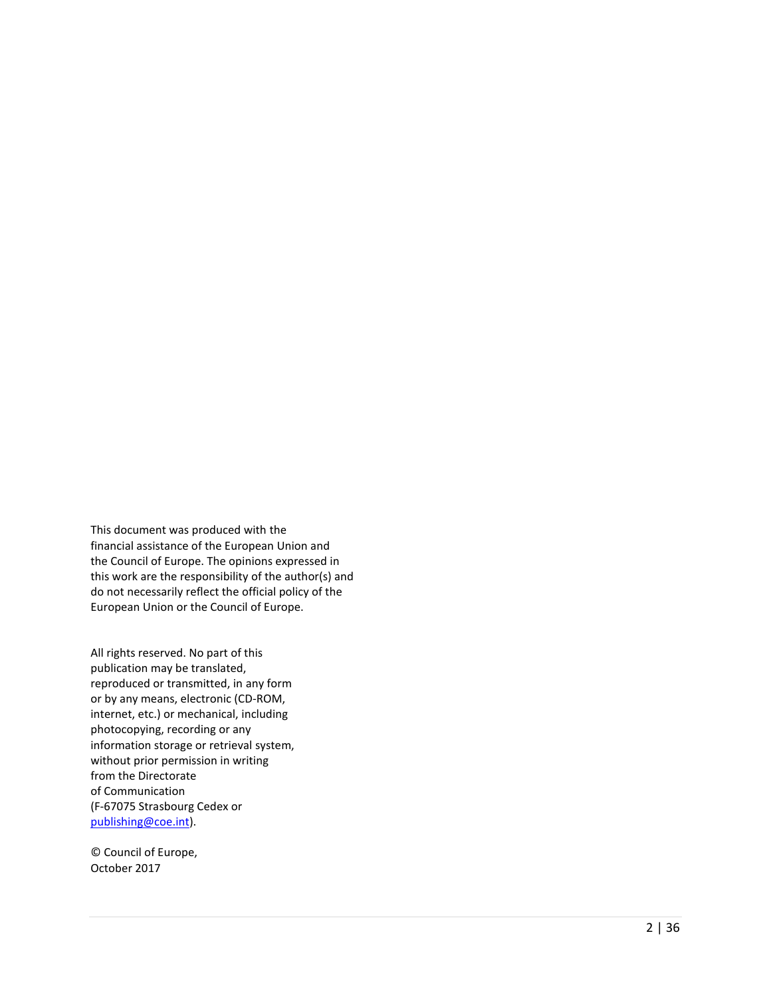This document was produced with the financial assistance of the European Union and the Council of Europe. The opinions expressed in this work are the responsibility of the author(s) and do not necessarily reflect the official policy of the European Union or the Council of Europe.

All rights reserved. No part of this publication may be translated, reproduced or transmitted, in any form or by any means, electronic (CD -ROM , internet, etc.) or mechanical, including photocopying, recording or any information storage or retrieval system, without prior permission in writing from the Directorate of Communication (F -67075 Strasbourg Cedex or [publishing@coe.int\)](mailto:publishing@coe.int).

© Council of Europe, October 2017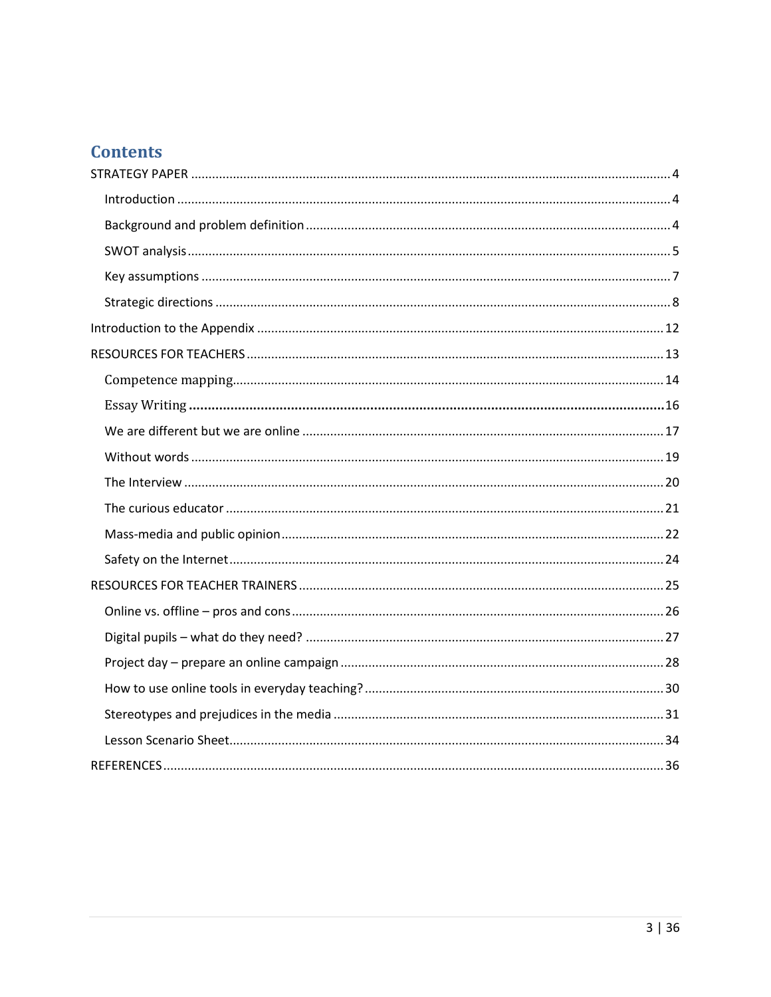# **Contents**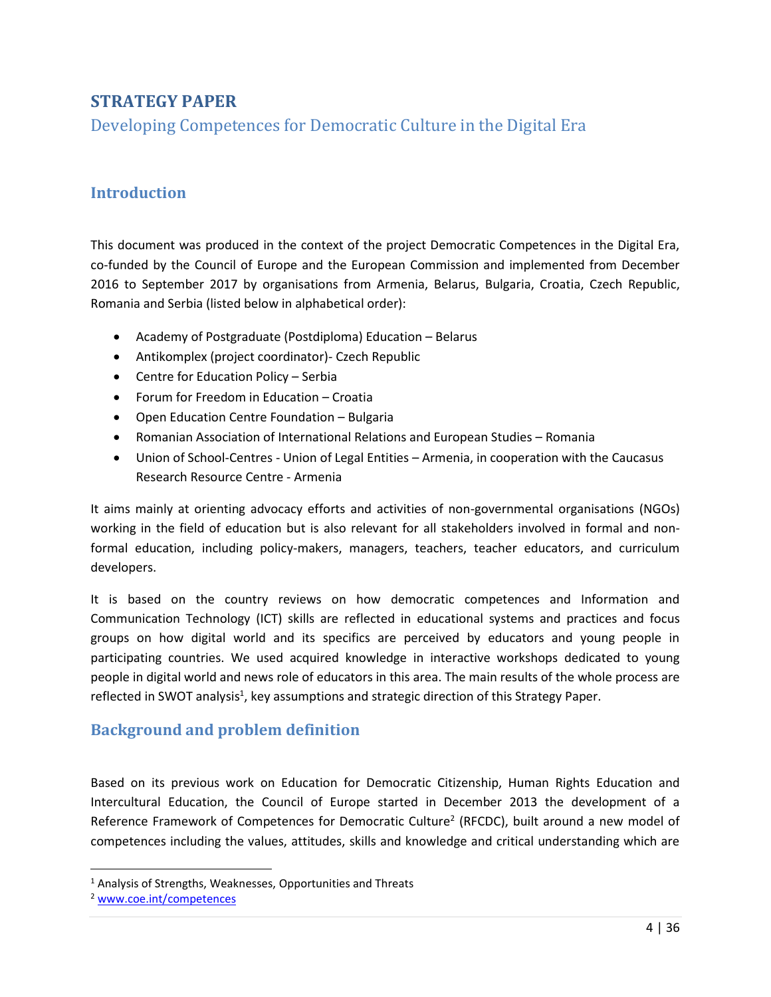# <span id="page-3-0"></span>**STRATEGY PAPER**

Developing Competences for Democratic Culture in the Digital Era

# <span id="page-3-1"></span>**Introduction**

This document was produced in the context of the project Democratic Competences in the Digital Era, co-funded by the Council of Europe and the European Commission and implemented from December 2016 to September 2017 by organisations from Armenia, Belarus, Bulgaria, Croatia, Czech Republic, Romania and Serbia (listed below in alphabetical order):

- Academy of Postgraduate (Postdiploma) Education Belarus
- Antikomplex (project coordinator)- Czech Republic
- Centre for Education Policy Serbia
- Forum for Freedom in Education Croati[a](http://www.fso.hr/)
- Open Education Centre Foundation Bulgaria
- Romanian Association of International Relations and European Studies Romania
- Union of School-Centres Union of Legal Entities Armenia, in cooperation with the Caucasus Research Resource Centre - Armenia

It aims mainly at orienting advocacy efforts and activities of non-governmental organisations (NGOs) working in the field of education but is also relevant for all stakeholders involved in formal and nonformal education, including policy-makers, managers, teachers, teacher educators, and curriculum developers.

It is based on the country reviews on how democratic competences and Information and Communication Technology (ICT) skills are reflected in educational systems and practices and focus groups on how digital world and its specifics are perceived by educators and young people in participating countries. We used acquired knowledge in interactive workshops dedicated to young people in digital world and news role of educators in this area. The main results of the whole process are reflected in SWOT analysis<sup>1</sup>, key assumptions and strategic direction of this Strategy Paper.

## <span id="page-3-2"></span>**Background and problem definition**

Based on its previous work on Education for Democratic Citizenship, Human Rights Education and Intercultural Education, the Council of Europe started in December 2013 the development of a Reference Framework of Competences for Democratic Culture<sup>2</sup> (RFCDC), built around a new model of competences including the values, attitudes, skills and knowledge and critical understanding which are

l

<sup>&</sup>lt;sup>1</sup> Analysis of Strengths, Weaknesses, Opportunities and Threats

<sup>2</sup> [www.coe.int/competences](http://www.coe.int/competences)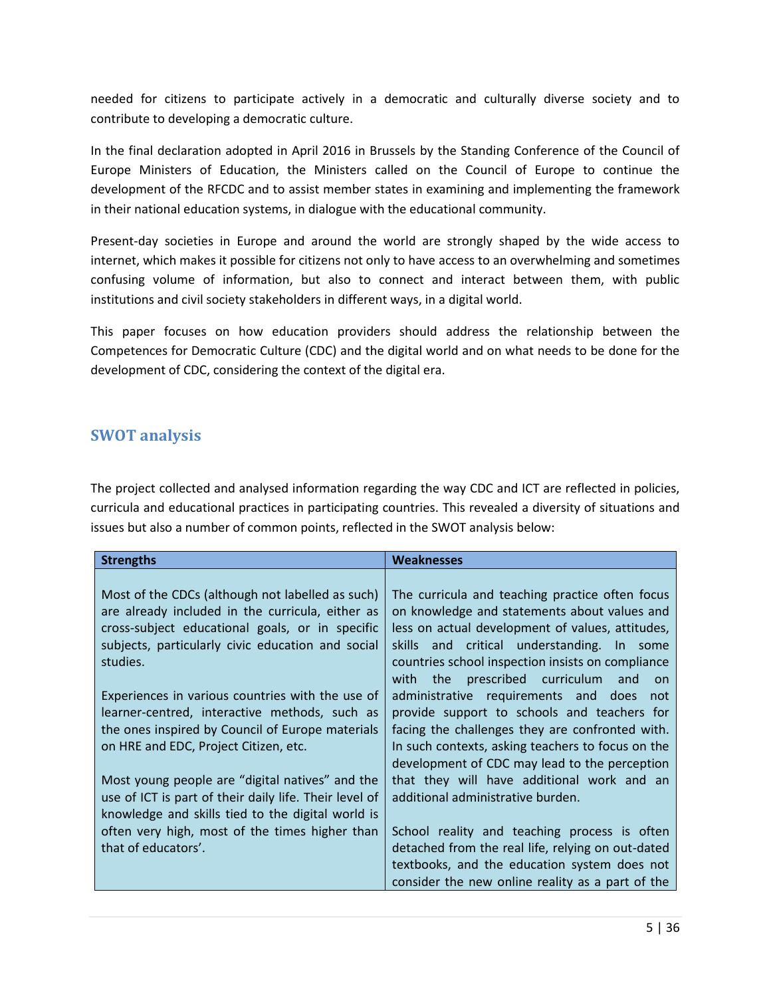needed for citizens to participate actively in a democratic and culturally diverse society and to contribute to developing a democratic culture.

In the final declaration adopted in April 2016 in Brussels by the Standing Conference of the Council of Europe Ministers of Education, the Ministers called on the Council of Europe to continue the development of the RFCDC and to assist member states in examining and implementing the framework in their national education systems, in dialogue with the educational community.

Present-day societies in Europe and around the world are strongly shaped by the wide access to internet, which makes it possible for citizens not only to have access to an overwhelming and sometimes confusing volume of information, but also to connect and interact between them, with public institutions and civil society stakeholders in different ways, in a digital world.

This paper focuses on how education providers should address the relationship between the Competences for Democratic Culture (CDC) and the digital world and on what needs to be done for the development of CDC, considering the context of the digital era.

### <span id="page-4-0"></span>**SWOT analysis**

The project collected and analysed information regarding the way CDC and ICT are reflected in policies, curricula and educational practices in participating countries. This revealed a diversity of situations and issues but also a number of common points, reflected in the SWOT analysis below:

| <b>Strengths</b>                                                                                                                                                                                                                                                                                                              | <b>Weaknesses</b>                                                                                                                                                                                                                                                                                                                                                                                   |
|-------------------------------------------------------------------------------------------------------------------------------------------------------------------------------------------------------------------------------------------------------------------------------------------------------------------------------|-----------------------------------------------------------------------------------------------------------------------------------------------------------------------------------------------------------------------------------------------------------------------------------------------------------------------------------------------------------------------------------------------------|
| Most of the CDCs (although not labelled as such)<br>are already included in the curricula, either as<br>cross-subject educational goals, or in specific<br>subjects, particularly civic education and social<br>studies.<br>Experiences in various countries with the use of<br>learner-centred, interactive methods, such as | The curricula and teaching practice often focus<br>on knowledge and statements about values and<br>less on actual development of values, attitudes,<br>skills and critical understanding. In some<br>countries school inspection insists on compliance<br>prescribed curriculum<br>with the<br>and<br>on<br>administrative requirements and does not<br>provide support to schools and teachers for |
| the ones inspired by Council of Europe materials<br>on HRE and EDC, Project Citizen, etc.                                                                                                                                                                                                                                     | facing the challenges they are confronted with.<br>In such contexts, asking teachers to focus on the                                                                                                                                                                                                                                                                                                |
| Most young people are "digital natives" and the                                                                                                                                                                                                                                                                               | development of CDC may lead to the perception<br>that they will have additional work and an                                                                                                                                                                                                                                                                                                         |
| use of ICT is part of their daily life. Their level of<br>knowledge and skills tied to the digital world is<br>often very high, most of the times higher than                                                                                                                                                                 | additional administrative burden.<br>School reality and teaching process is often                                                                                                                                                                                                                                                                                                                   |
| that of educators'.                                                                                                                                                                                                                                                                                                           | detached from the real life, relying on out-dated<br>textbooks, and the education system does not                                                                                                                                                                                                                                                                                                   |
|                                                                                                                                                                                                                                                                                                                               | consider the new online reality as a part of the                                                                                                                                                                                                                                                                                                                                                    |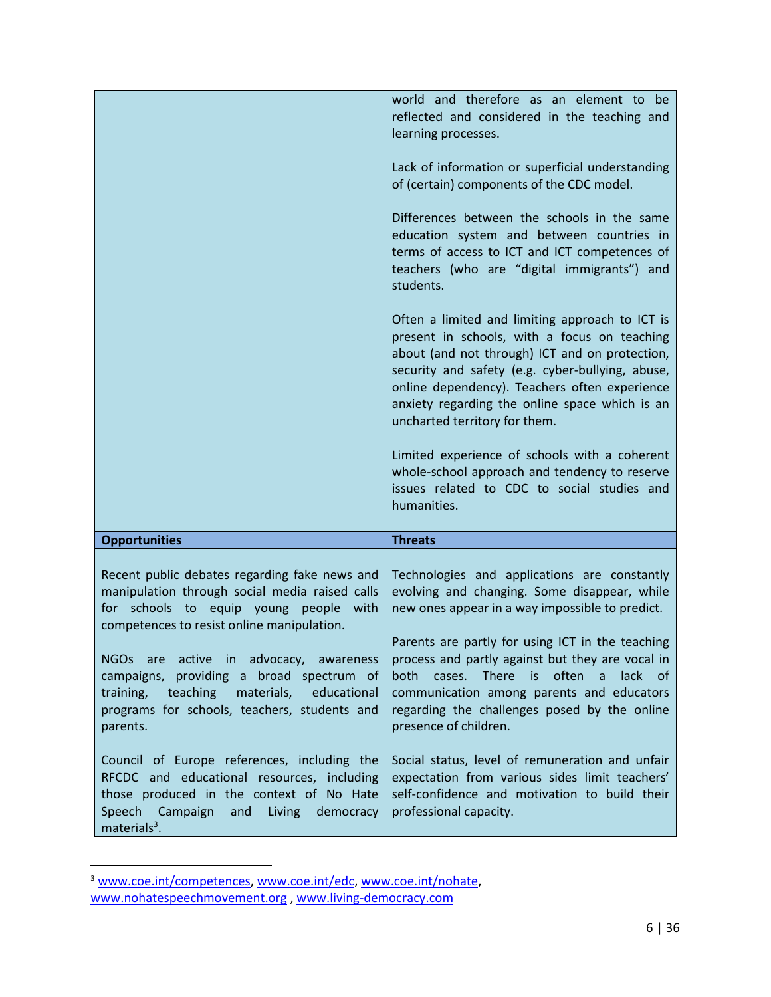|                                                                                                                                                                                                                                                                                                                                                                                                              | world and therefore as an element to be<br>reflected and considered in the teaching and<br>learning processes.<br>Lack of information or superficial understanding<br>of (certain) components of the CDC model.<br>Differences between the schools in the same<br>education system and between countries in<br>terms of access to ICT and ICT competences of<br>teachers (who are "digital immigrants") and<br>students.<br>Often a limited and limiting approach to ICT is<br>present in schools, with a focus on teaching<br>about (and not through) ICT and on protection,<br>security and safety (e.g. cyber-bullying, abuse,<br>online dependency). Teachers often experience<br>anxiety regarding the online space which is an<br>uncharted territory for them.<br>Limited experience of schools with a coherent<br>whole-school approach and tendency to reserve<br>issues related to CDC to social studies and<br>humanities. |
|--------------------------------------------------------------------------------------------------------------------------------------------------------------------------------------------------------------------------------------------------------------------------------------------------------------------------------------------------------------------------------------------------------------|---------------------------------------------------------------------------------------------------------------------------------------------------------------------------------------------------------------------------------------------------------------------------------------------------------------------------------------------------------------------------------------------------------------------------------------------------------------------------------------------------------------------------------------------------------------------------------------------------------------------------------------------------------------------------------------------------------------------------------------------------------------------------------------------------------------------------------------------------------------------------------------------------------------------------------------|
| <b>Opportunities</b>                                                                                                                                                                                                                                                                                                                                                                                         | <b>Threats</b>                                                                                                                                                                                                                                                                                                                                                                                                                                                                                                                                                                                                                                                                                                                                                                                                                                                                                                                        |
| Recent public debates regarding fake news and<br>manipulation through social media raised calls<br>for schools to equip young people with<br>competences to resist online manipulation.<br>active in advocacy, awareness<br><b>NGOs</b><br>are<br>campaigns, providing a broad spectrum of<br>teaching<br>training,<br>materials,<br>educational<br>programs for schools, teachers, students and<br>parents. | Technologies and applications are constantly<br>evolving and changing. Some disappear, while<br>new ones appear in a way impossible to predict.<br>Parents are partly for using ICT in the teaching<br>process and partly against but they are vocal in<br>is often<br>cases. There<br>lack of<br>both<br>$\overline{a}$<br>communication among parents and educators<br>regarding the challenges posed by the online<br>presence of children.                                                                                                                                                                                                                                                                                                                                                                                                                                                                                        |
| Council of Europe references, including the<br>RFCDC and educational resources, including<br>those produced in the context of No Hate<br>Speech Campaign<br>and<br>Living<br>democracy<br>materials $3$ .                                                                                                                                                                                                    | Social status, level of remuneration and unfair<br>expectation from various sides limit teachers'<br>self-confidence and motivation to build their<br>professional capacity.                                                                                                                                                                                                                                                                                                                                                                                                                                                                                                                                                                                                                                                                                                                                                          |

<sup>&</sup>lt;sup>3</sup> [www.coe.int/competences,](http://www.coe.int/competences) [www.coe.int/edc,](http://www.coe.int/edc) [www.coe.int/nohate,](http://www.coe.int/nohate) [www.nohatespeechmovement.org](http://www.nohatespeechmovement.org/) , [www.living-democracy.com](http://www.living-democracy.com/)

 $\overline{\phantom{a}}$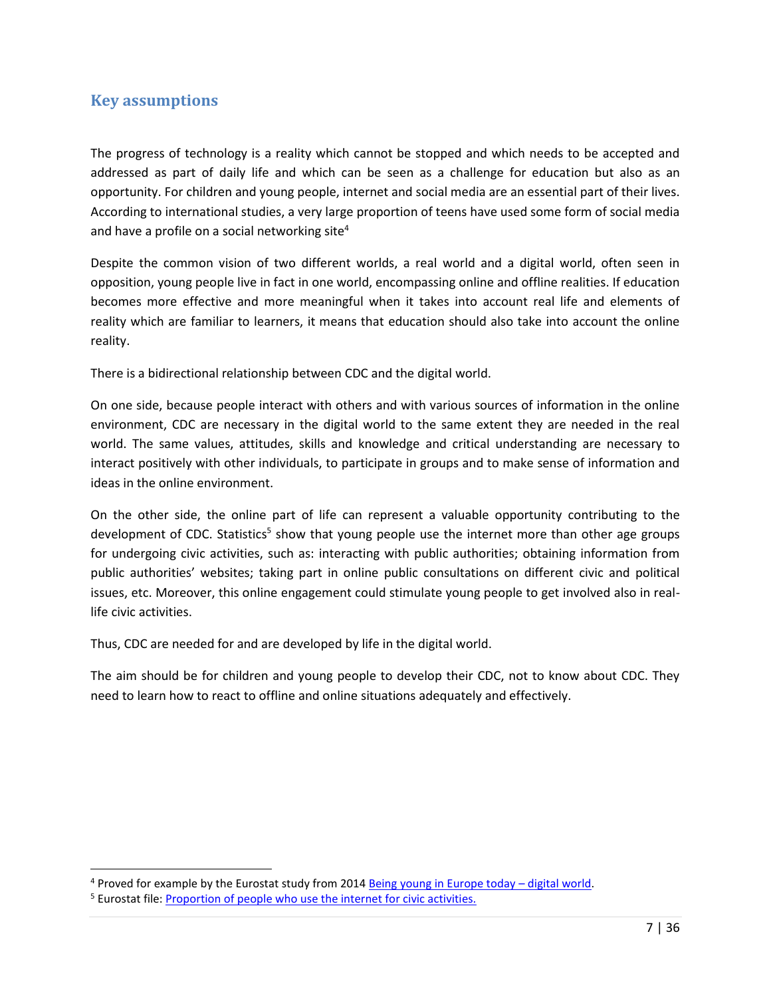# <span id="page-6-0"></span>**Key assumptions**

The progress of technology is a reality which cannot be stopped and which needs to be accepted and addressed as part of daily life and which can be seen as a challenge for education but also as an opportunity. For children and young people, internet and social media are an essential part of their lives. According to international studies, a very large proportion of teens have used some form of social media and have a profile on a social networking site $4$ 

Despite the common vision of two different worlds, a real world and a digital world, often seen in opposition, young people live in fact in one world, encompassing online and offline realities. If education becomes more effective and more meaningful when it takes into account real life and elements of reality which are familiar to learners, it means that education should also take into account the online reality.

There is a bidirectional relationship between CDC and the digital world.

On one side, because people interact with others and with various sources of information in the online environment, CDC are necessary in the digital world to the same extent they are needed in the real world. The same values, attitudes, skills and knowledge and critical understanding are necessary to interact positively with other individuals, to participate in groups and to make sense of information and ideas in the online environment.

On the other side, the online part of life can represent a valuable opportunity contributing to the development of CDC. Statistics<sup>5</sup> show that young people use the internet more than other age groups for undergoing civic activities, such as: interacting with public authorities; obtaining information from public authorities' websites; taking part in online public consultations on different civic and political issues, etc. Moreover, this online engagement could stimulate young people to get involved also in reallife civic activities.

Thus, CDC are needed for and are developed by life in the digital world.

The aim should be for children and young people to develop their CDC, not to know about CDC. They need to learn how to react to offline and online situations adequately and effectively.

l

 $4$  Proved for example by the Eurostat study from 2014 [Being young in Europe today](http://ec.europa.eu/eurostat/statistics-explained/index.php/Being_young_in_Europe_today_-_digital_world#Youth_online:_a_way_of_life) – digital world.

<sup>&</sup>lt;sup>5</sup> Eurostat file[: Proportion of people who use the internet for civic activities.](http://ec.europa.eu/eurostat/statistics-explained/index.php/File:Proportion_of_people_who_used_the_internet_for_civic_activities,_EU-28,_2014_(%C2%B9)_(%25)_BYIE15.png)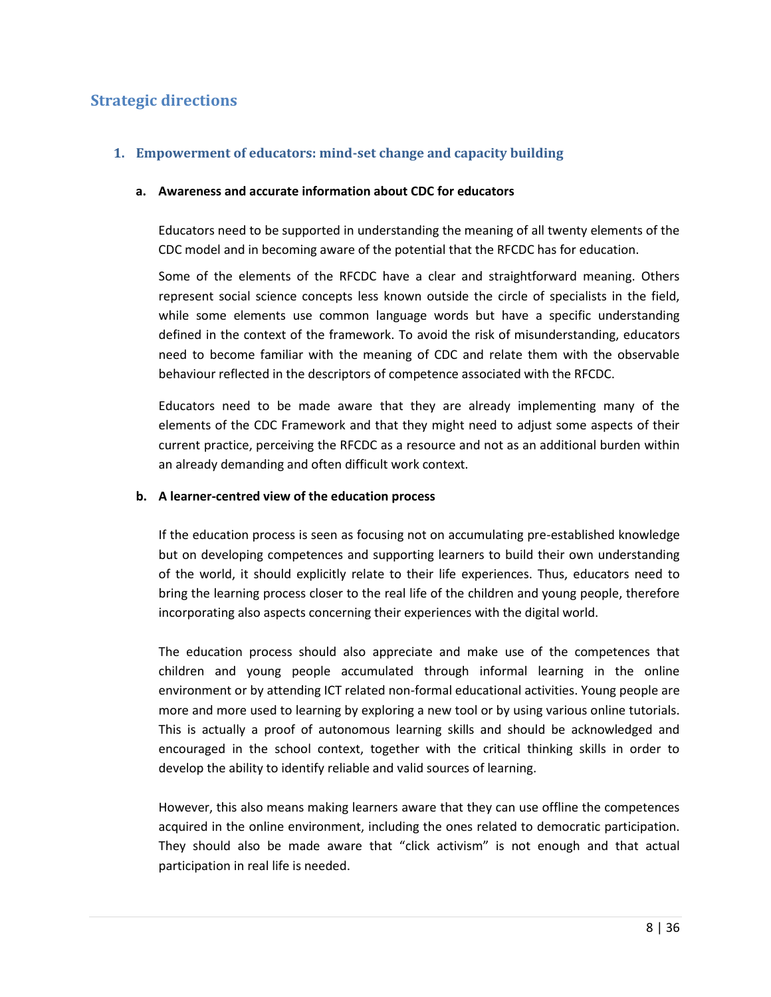# <span id="page-7-0"></span>**Strategic directions**

#### **1. Empowerment of educators: mind-set change and capacity building**

#### **a. Awareness and accurate information about CDC for educators**

Educators need to be supported in understanding the meaning of all twenty elements of the CDC model and in becoming aware of the potential that the RFCDC has for education.

Some of the elements of the RFCDC have a clear and straightforward meaning. Others represent social science concepts less known outside the circle of specialists in the field, while some elements use common language words but have a specific understanding defined in the context of the framework. To avoid the risk of misunderstanding, educators need to become familiar with the meaning of CDC and relate them with the observable behaviour reflected in the descriptors of competence associated with the RFCDC.

Educators need to be made aware that they are already implementing many of the elements of the CDC Framework and that they might need to adjust some aspects of their current practice, perceiving the RFCDC as a resource and not as an additional burden within an already demanding and often difficult work context.

#### **b. A learner-centred view of the education process**

If the education process is seen as focusing not on accumulating pre-established knowledge but on developing competences and supporting learners to build their own understanding of the world, it should explicitly relate to their life experiences. Thus, educators need to bring the learning process closer to the real life of the children and young people, therefore incorporating also aspects concerning their experiences with the digital world.

The education process should also appreciate and make use of the competences that children and young people accumulated through informal learning in the online environment or by attending ICT related non-formal educational activities. Young people are more and more used to learning by exploring a new tool or by using various online tutorials. This is actually a proof of autonomous learning skills and should be acknowledged and encouraged in the school context, together with the critical thinking skills in order to develop the ability to identify reliable and valid sources of learning.

However, this also means making learners aware that they can use offline the competences acquired in the online environment, including the ones related to democratic participation. They should also be made aware that "click activism" is not enough and that actual participation in real life is needed.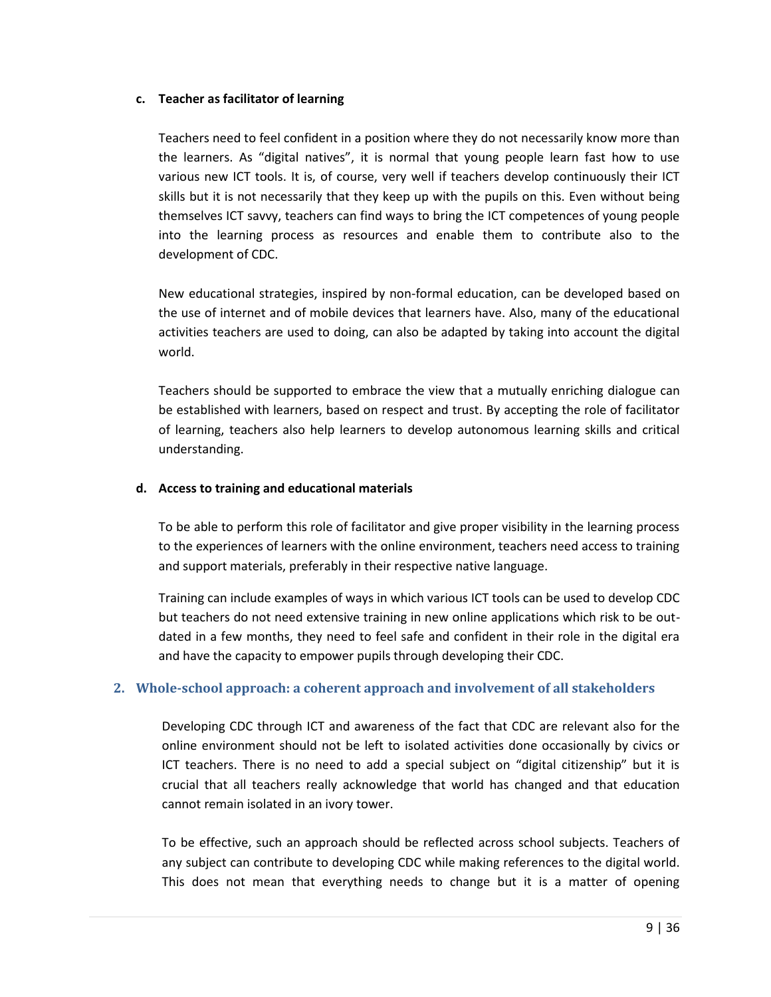#### **c. Teacher as facilitator of learning**

Teachers need to feel confident in a position where they do not necessarily know more than the learners. As "digital natives", it is normal that young people learn fast how to use various new ICT tools. It is, of course, very well if teachers develop continuously their ICT skills but it is not necessarily that they keep up with the pupils on this. Even without being themselves ICT savvy, teachers can find ways to bring the ICT competences of young people into the learning process as resources and enable them to contribute also to the development of CDC.

New educational strategies, inspired by non-formal education, can be developed based on the use of internet and of mobile devices that learners have. Also, many of the educational activities teachers are used to doing, can also be adapted by taking into account the digital world.

Teachers should be supported to embrace the view that a mutually enriching dialogue can be established with learners, based on respect and trust. By accepting the role of facilitator of learning, teachers also help learners to develop autonomous learning skills and critical understanding.

#### **d. Access to training and educational materials**

To be able to perform this role of facilitator and give proper visibility in the learning process to the experiences of learners with the online environment, teachers need access to training and support materials, preferably in their respective native language.

Training can include examples of ways in which various ICT tools can be used to develop CDC but teachers do not need extensive training in new online applications which risk to be outdated in a few months, they need to feel safe and confident in their role in the digital era and have the capacity to empower pupils through developing their CDC.

#### **2. Whole-school approach: a coherent approach and involvement of all stakeholders**

Developing CDC through ICT and awareness of the fact that CDC are relevant also for the online environment should not be left to isolated activities done occasionally by civics or ICT teachers. There is no need to add a special subject on "digital citizenship" but it is crucial that all teachers really acknowledge that world has changed and that education cannot remain isolated in an ivory tower.

To be effective, such an approach should be reflected across school subjects. Teachers of any subject can contribute to developing CDC while making references to the digital world. This does not mean that everything needs to change but it is a matter of opening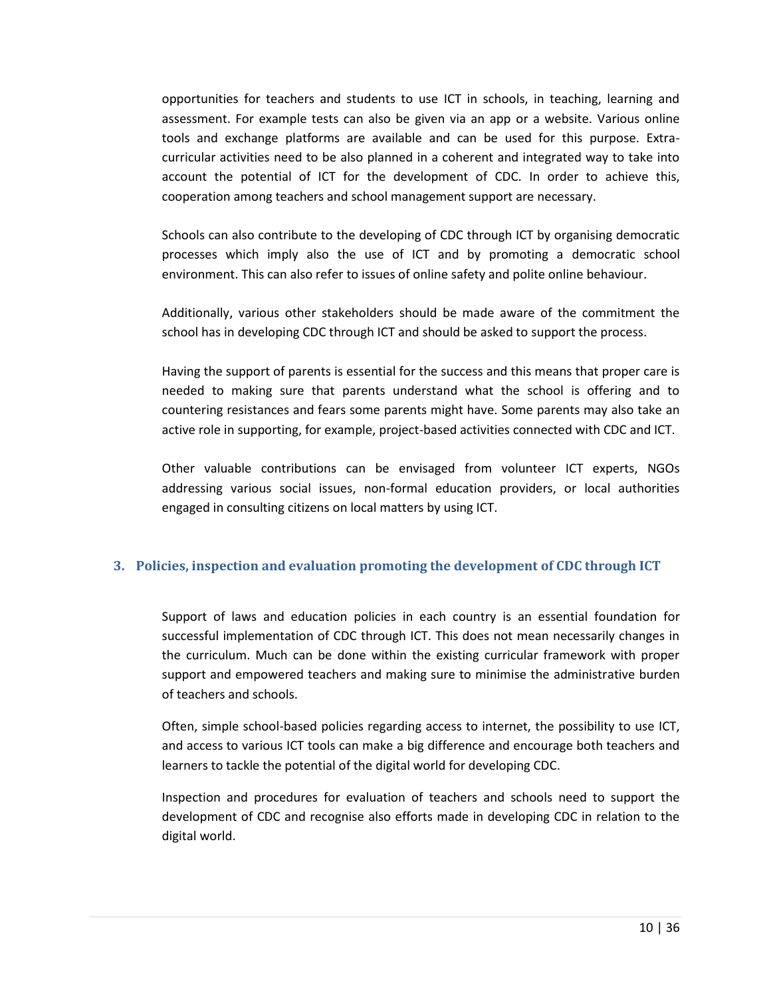opportunities for teachers and students to use ICT in schools, in teaching, learning and assessment. For example tests can also be given via an app or a website. Various online tools and exchange platforms are available and can be used for this purpose. Extracurricular activities need to be also planned in a coherent and integrated way to take into account the potential of ICT for the development of CDC. In order to achieve this, cooperation among teachers and school management support are necessary.

Schools can also contribute to the developing of CDC through ICT by organising democratic processes which imply also the use of ICT and by promoting a democratic school environment. This can also refer to issues of online safety and polite online behaviour.

Additionally, various other stakeholders should be made aware of the commitment the school has in developing CDC through ICT and should be asked to support the process.

Having the support of parents is essential for the success and this means that proper care is needed to making sure that parents understand what the school is offering and to countering resistances and fears some parents might have. Some parents may also take an active role in supporting, for example, project-based activities connected with CDC and ICT.

Other valuable contributions can be envisaged from volunteer ICT experts, NGOs addressing various social issues, non-formal education providers, or local authorities engaged in consulting citizens on local matters by using ICT.

#### **3. Policies, inspection and evaluation promoting the development of CDC through ICT**

Support of laws and education policies in each country is an essential foundation for successful implementation of CDC through ICT. This does not mean necessarily changes in the curriculum. Much can be done within the existing curricular framework with proper support and empowered teachers and making sure to minimise the administrative burden of teachers and schools.

Often, simple school-based policies regarding access to internet, the possibility to use ICT, and access to various ICT tools can make a big difference and encourage both teachers and learners to tackle the potential of the digital world for developing CDC.

Inspection and procedures for evaluation of teachers and schools need to support the development of CDC and recognise also efforts made in developing CDC in relation to the digital world.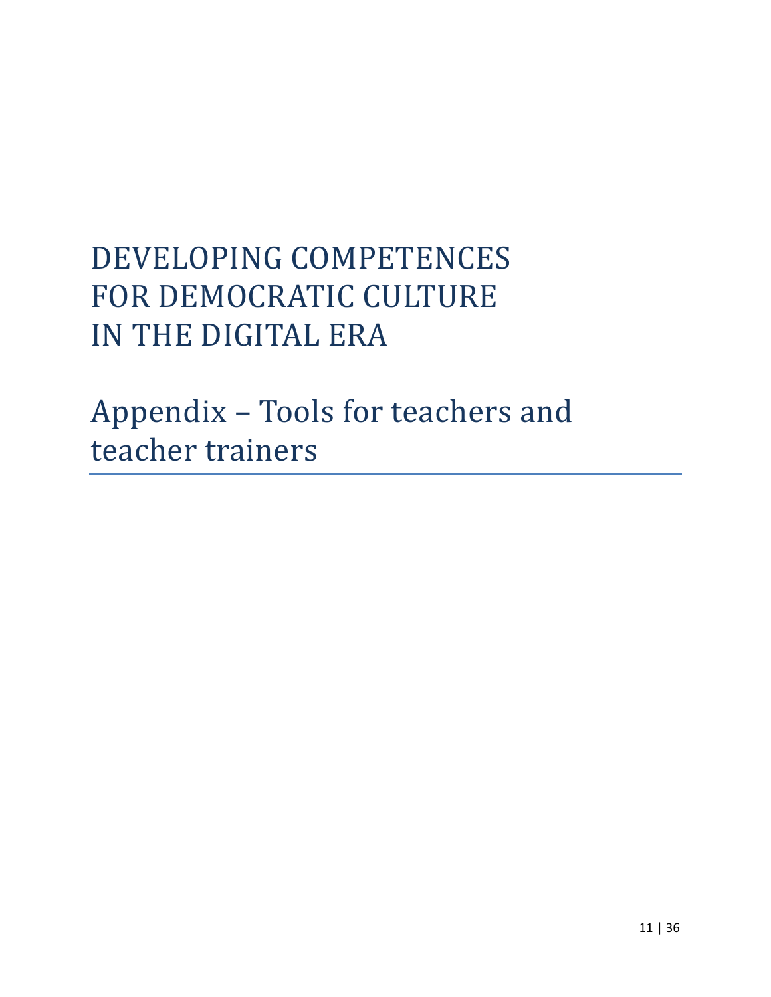# DEVELOPING COMPETENCES FOR DEMOCRATIC CULTURE IN THE DIGITAL ERA

Appendix – Tools for teachers and teacher trainers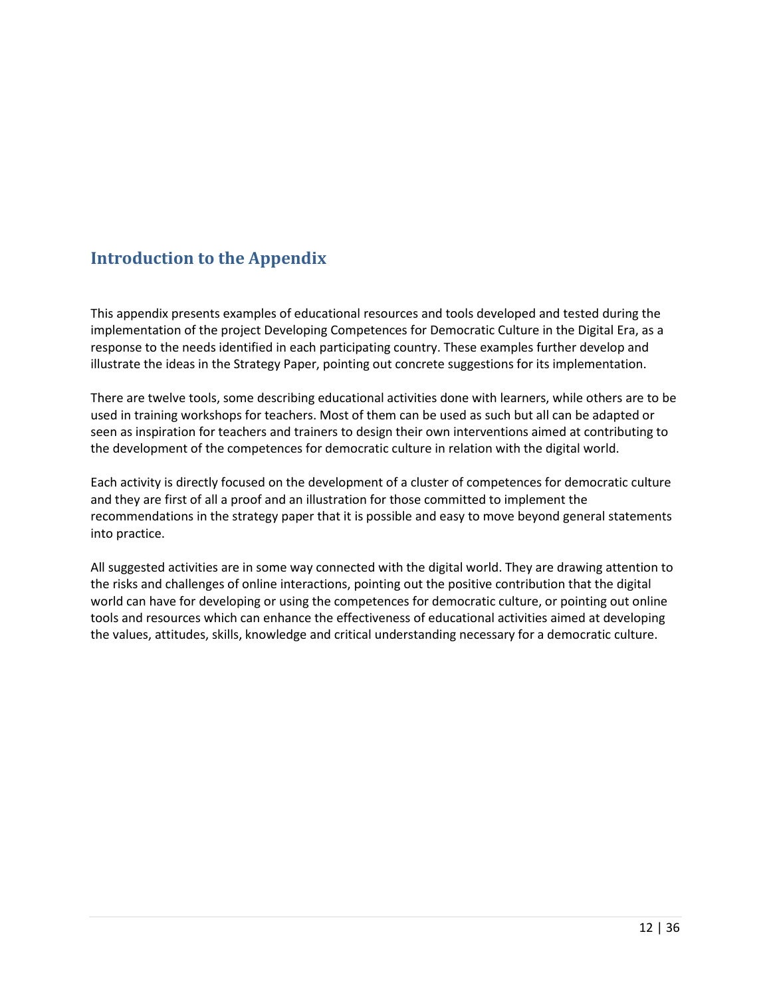# <span id="page-11-0"></span>**Introduction to the Appendix**

This appendix presents examples of educational resources and tools developed and tested during the implementation of the project Developing Competences for Democratic Culture in the Digital Era, as a response to the needs identified in each participating country. These examples further develop and illustrate the ideas in the Strategy Paper, pointing out concrete suggestions for its implementation.

There are twelve tools, some describing educational activities done with learners, while others are to be used in training workshops for teachers. Most of them can be used as such but all can be adapted or seen as inspiration for teachers and trainers to design their own interventions aimed at contributing to the development of the competences for democratic culture in relation with the digital world.

Each activity is directly focused on the development of a cluster of competences for democratic culture and they are first of all a proof and an illustration for those committed to implement the recommendations in the strategy paper that it is possible and easy to move beyond general statements into practice.

All suggested activities are in some way connected with the digital world. They are drawing attention to the risks and challenges of online interactions, pointing out the positive contribution that the digital world can have for developing or using the competences for democratic culture, or pointing out online tools and resources which can enhance the effectiveness of educational activities aimed at developing the values, attitudes, skills, knowledge and critical understanding necessary for a democratic culture.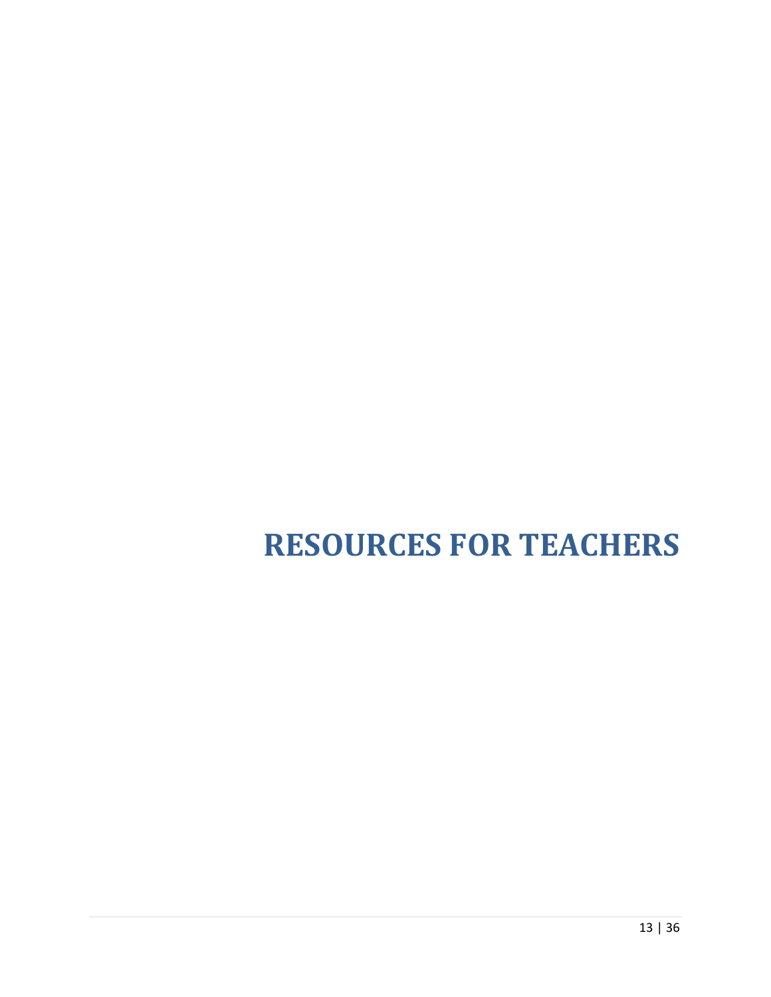# <span id="page-12-0"></span>**RESOURCES FOR TEACHERS**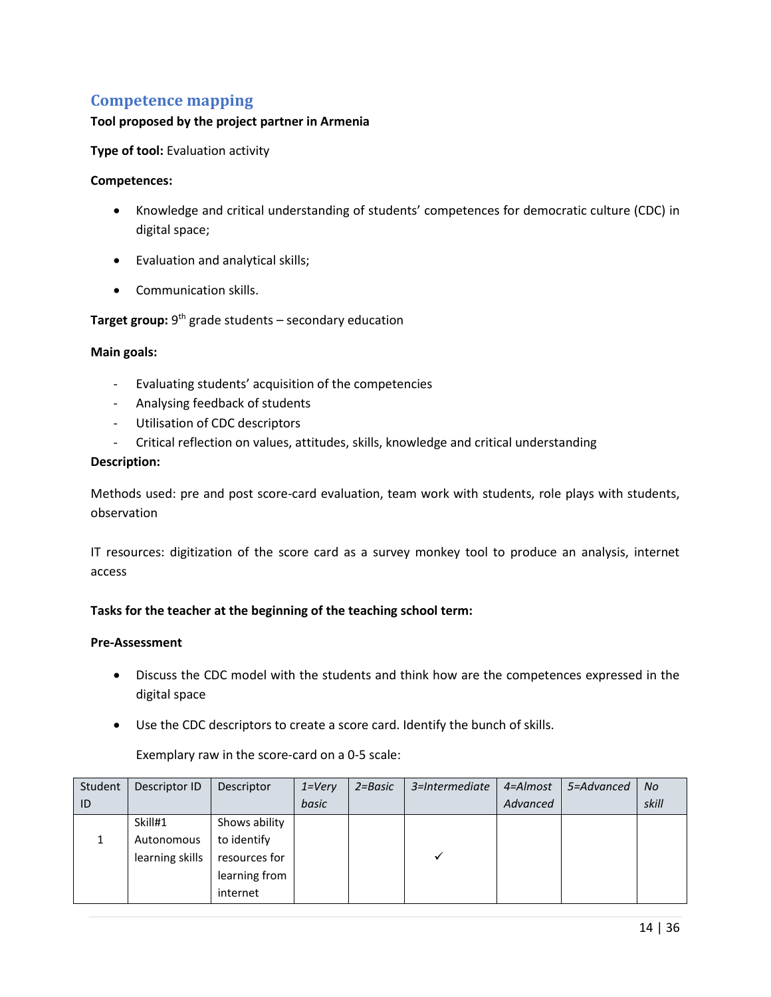### <span id="page-13-0"></span>**Competence mapping**

#### **Tool proposed by the project partner in Armenia**

**Type of tool:** Evaluation activity

#### **Competences:**

- Knowledge and critical understanding of students' competences for democratic culture (CDC) in digital space;
- Evaluation and analytical skills;
- Communication skills.

#### **Target group:** 9<sup>th</sup> grade students – secondary education

#### **Main goals:**

- Evaluating students' acquisition of the competencies
- Analysing feedback of students
- Utilisation of CDC descriptors
- Critical reflection on values, attitudes, skills, knowledge and critical understanding

#### **Description:**

Methods used: pre and post score-card evaluation, team work with students, role plays with students, observation

IT resources: digitization of the score card as a survey monkey tool to produce an analysis, internet access

#### **Tasks for the teacher at the beginning of the teaching school term:**

#### **Pre-Assessment**

- Discuss the CDC model with the students and think how are the competences expressed in the digital space
- Use the CDC descriptors to create a score card. Identify the bunch of skills.

Exemplary raw in the score-card on a 0-5 scale:

| Student | Descriptor ID   | Descriptor    | $1 = \nV$ ery | $2 = Basic$ | 3=Intermediate | 4=Almost | 5=Advanced | <b>No</b> |
|---------|-----------------|---------------|---------------|-------------|----------------|----------|------------|-----------|
| ID      |                 |               | basic         |             |                | Advanced |            | skill     |
|         | Skill#1         | Shows ability |               |             |                |          |            |           |
|         | Autonomous      | to identify   |               |             |                |          |            |           |
|         | learning skills | resources for |               |             |                |          |            |           |
|         |                 | learning from |               |             |                |          |            |           |
|         |                 | internet      |               |             |                |          |            |           |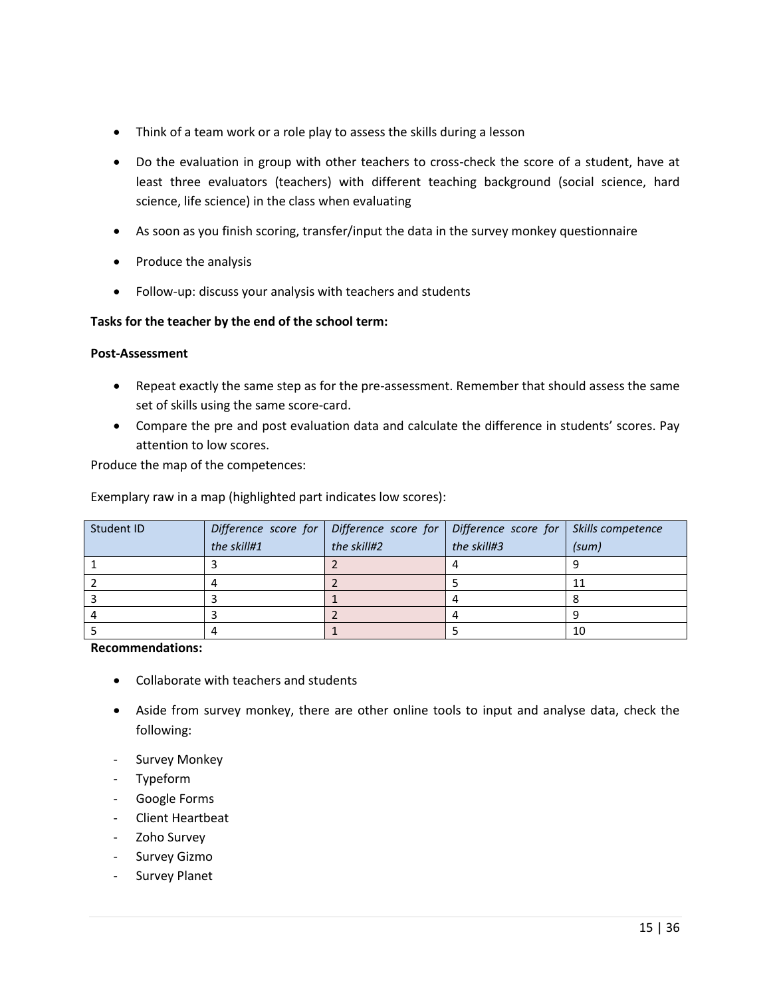- Think of a team work or a role play to assess the skills during a lesson
- Do the evaluation in group with other teachers to cross-check the score of a student, have at least three evaluators (teachers) with different teaching background (social science, hard science, life science) in the class when evaluating
- As soon as you finish scoring, transfer/input the data in the survey monkey questionnaire
- Produce the analysis
- Follow-up: discuss your analysis with teachers and students

#### **Tasks for the teacher by the end of the school term:**

#### **Post-Assessment**

- Repeat exactly the same step as for the pre-assessment. Remember that should assess the same set of skills using the same score-card.
- Compare the pre and post evaluation data and calculate the difference in students' scores. Pay attention to low scores.

Produce the map of the competences:

Exemplary raw in a map (highlighted part indicates low scores):

| Student ID | the skill#1 | Difference score for $\vert$ Difference score for $\vert$ Difference score for $\vert$ Skills competence<br>the skill#2 | the skill#3 | (sum) |
|------------|-------------|-------------------------------------------------------------------------------------------------------------------------|-------------|-------|
|            |             |                                                                                                                         |             |       |
|            |             |                                                                                                                         |             |       |
|            |             |                                                                                                                         |             |       |
|            |             |                                                                                                                         |             |       |
|            |             |                                                                                                                         |             | 10    |

#### **Recommendations:**

- Collaborate with teachers and students
- Aside from survey monkey, there are other online tools to input and analyse data, check the following:
- Survey Monkey
- Typeform
- Google Forms
- Client Heartbeat
- Zoho Survey
- Survey Gizmo
- Survey Planet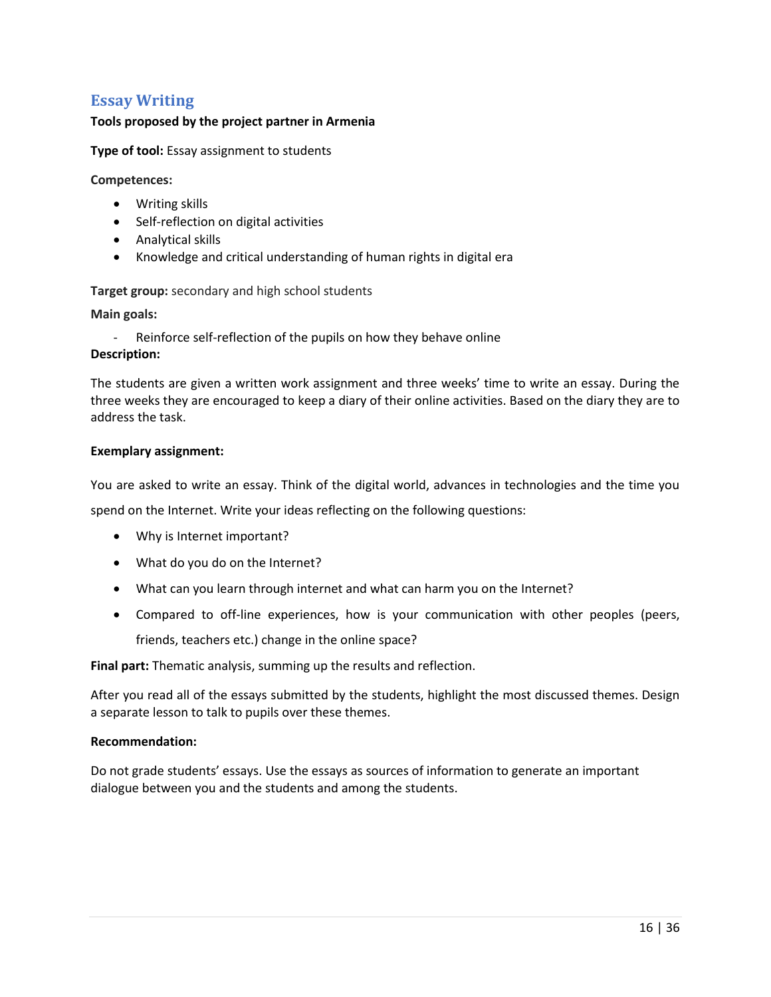# <span id="page-15-0"></span>**Essay Writing**

#### **Tools proposed by the project partner in Armenia**

**Type of tool:** Essay assignment to students

**Competences:**

- Writing skills
- Self-reflection on digital activities
- Analytical skills
- Knowledge and critical understanding of human rights in digital era

**Target group:** secondary and high school students

**Main goals:** 

- Reinforce self-reflection of the pupils on how they behave online

#### **Description:**

The students are given a written work assignment and three weeks' time to write an essay. During the three weeks they are encouraged to keep a diary of their online activities. Based on the diary they are to address the task.

#### **Exemplary assignment:**

You are asked to write an essay. Think of the digital world, advances in technologies and the time you

spend on the Internet. Write your ideas reflecting on the following questions:

- Why is Internet important?
- What do you do on the Internet?
- What can you learn through internet and what can harm you on the Internet?
- Compared to off-line experiences, how is your communication with other peoples (peers, friends, teachers etc.) change in the online space?

**Final part:** Thematic analysis, summing up the results and reflection.

After you read all of the essays submitted by the students, highlight the most discussed themes. Design a separate lesson to talk to pupils over these themes.

#### **Recommendation:**

Do not grade students' essays. Use the essays as sources of information to generate an important dialogue between you and the students and among the students.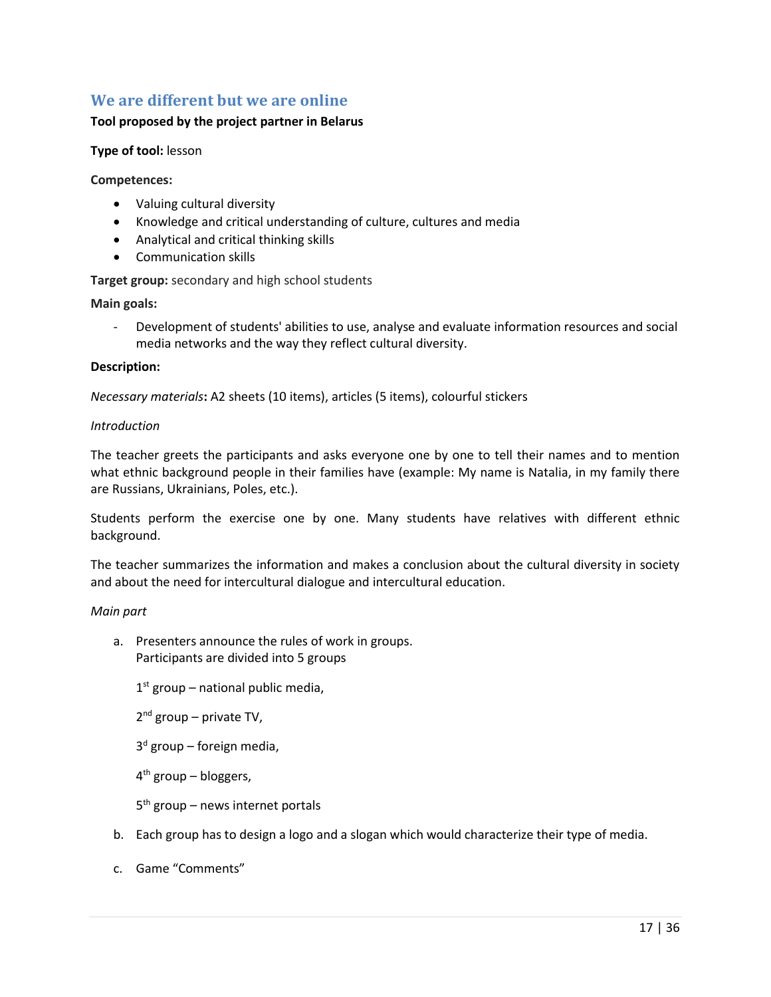# <span id="page-16-0"></span>**We are different but we are online**

#### **Tool proposed by the project partner in Belarus**

#### **Type of tool:** lesson

**Competences:**

- Valuing cultural diversity
- Knowledge and critical understanding of culture, cultures and media
- Analytical and critical thinking skills
- Communication skills

**Target group:** secondary and high school students

**Main goals:** 

- Development of students' abilities to use, analyse and evaluate information resources and social media networks and the way they reflect cultural diversity.

#### **Description:**

*Necessary materials***:** A2 sheets (10 items), articles (5 items), colourful stickers

#### *Introduction*

The teacher greets the participants and asks everyone one by one to tell their names and to mention what ethnic background people in their families have (example: My name is Natalia, in my family there are Russians, Ukrainians, Poles, etc.).

Students perform the exercise one by one. Many students have relatives with different ethnic background.

The teacher summarizes the information and makes a conclusion about the cultural diversity in society and about the need for intercultural dialogue and intercultural education.

#### *Main part*

a. Presenters announce the rules of work in groups. Participants are divided into 5 groups

1<sup>st</sup> group – national public media,

2<sup>nd</sup> group – private TV,

3 d group – foreign media,

4 th group – bloggers,

- 5<sup>th</sup> group news internet portals
- b. Each group has to design a logo and a slogan which would characterize their type of media.
- c. Game "Comments"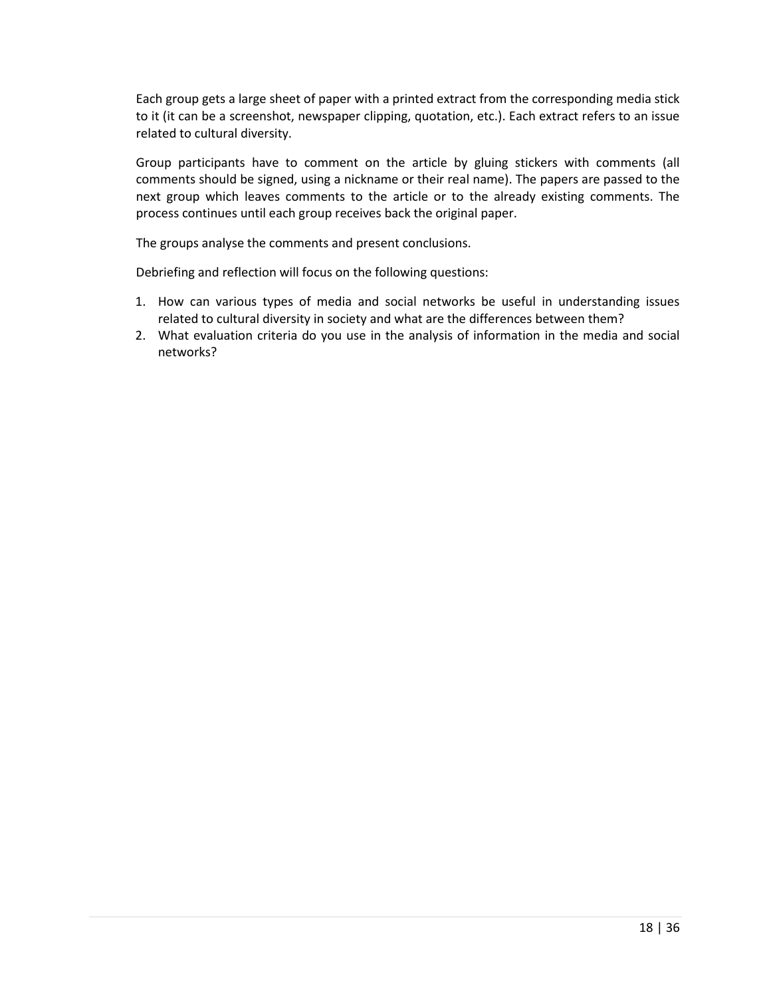Each group gets a large sheet of paper with a printed extract from the corresponding media stick to it (it can be a screenshot, newspaper clipping, quotation, etc.). Each extract refers to an issue related to cultural diversity.

Group participants have to comment on the article by gluing stickers with comments (all comments should be signed, using a nickname or their real name). The papers are passed to the next group which leaves comments to the article or to the already existing comments. The process continues until each group receives back the original paper.

The groups analyse the comments and present conclusions.

Debriefing and reflection will focus on the following questions:

- 1. How can various types of media and social networks be useful in understanding issues related to cultural diversity in society and what are the differences between them?
- 2. What evaluation criteria do you use in the analysis of information in the media and social networks?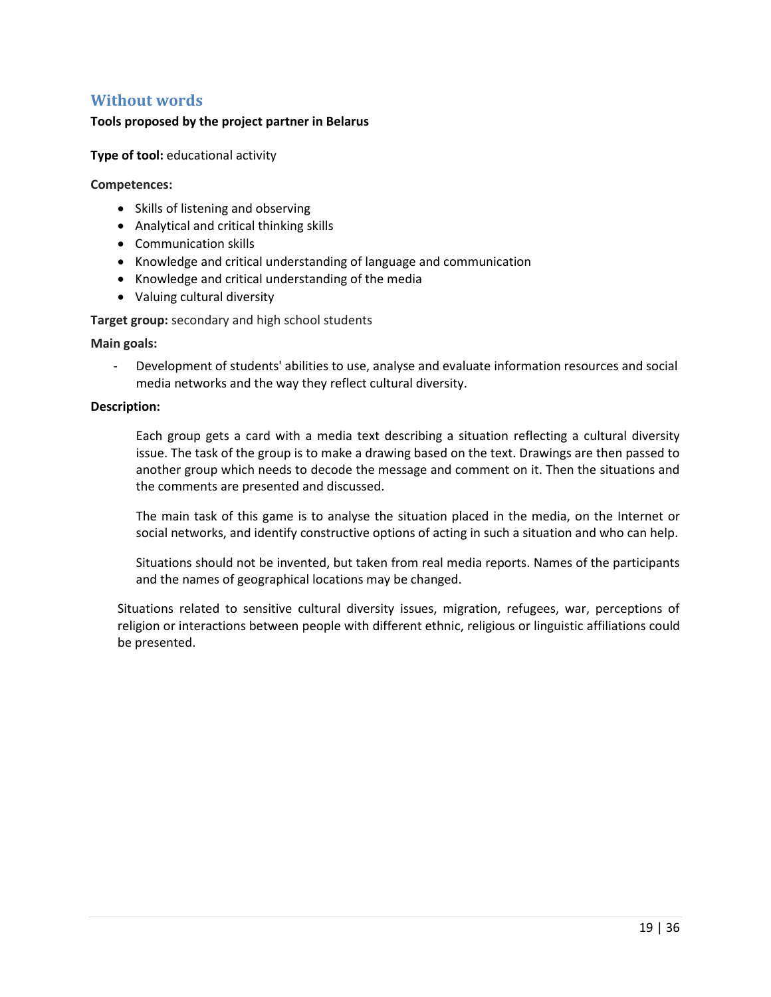### <span id="page-18-0"></span>**Without words**

#### **Tools proposed by the project partner in Belarus**

**Type of tool:** educational activity

#### **Competences:**

- Skills of listening and observing
- Analytical and critical thinking skills
- Communication skills
- Knowledge and critical understanding of language and communication
- Knowledge and critical understanding of the media
- Valuing cultural diversity

**Target group:** secondary and high school students

**Main goals:** 

- Development of students' abilities to use, analyse and evaluate information resources and social media networks and the way they reflect cultural diversity.

#### **Description:**

Each group gets a card with a media text describing a situation reflecting a cultural diversity issue. The task of the group is to make a drawing based on the text. Drawings are then passed to another group which needs to decode the message and comment on it. Then the situations and the comments are presented and discussed.

The main task of this game is to analyse the situation placed in the media, on the Internet or social networks, and identify constructive options of acting in such a situation and who can help.

Situations should not be invented, but taken from real media reports. Names of the participants and the names of geographical locations may be changed.

Situations related to sensitive cultural diversity issues, migration, refugees, war, perceptions of religion or interactions between people with different ethnic, religious or linguistic affiliations could be presented.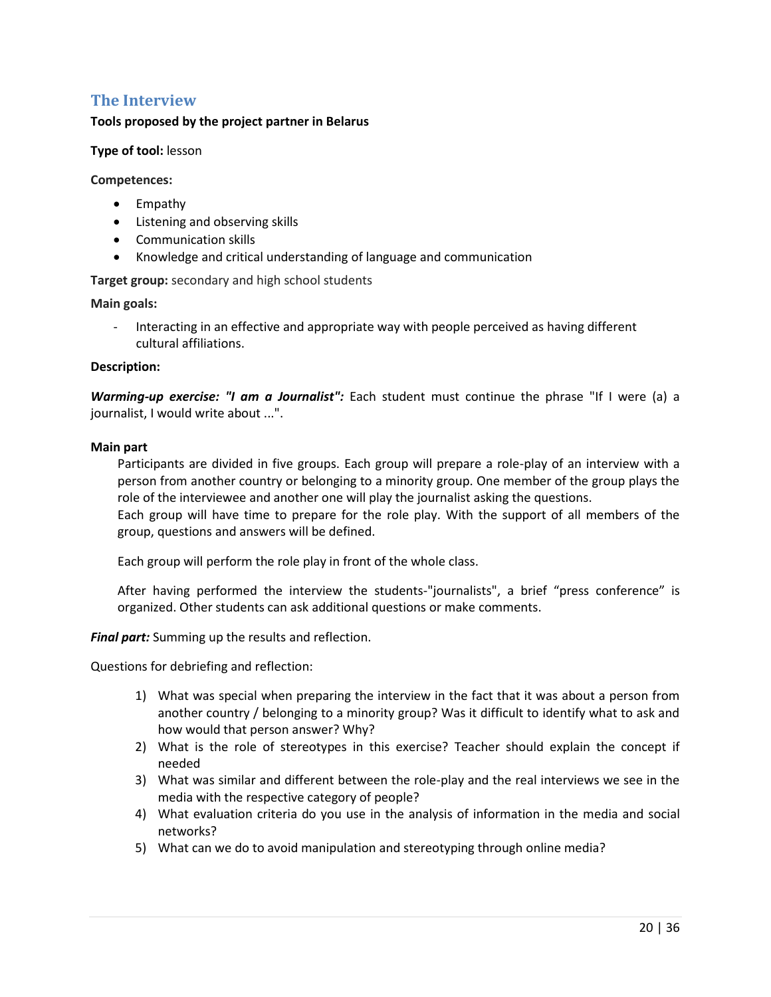# <span id="page-19-0"></span>**The Interview**

#### **Tools proposed by the project partner in Belarus**

#### **Type of tool:** lesson

**Competences:**

- Empathy
- Listening and observing skills
- Communication skills
- Knowledge and critical understanding of language and communication

**Target group:** secondary and high school students

**Main goals:** 

Interacting in an effective and appropriate way with people perceived as having different cultural affiliations.

#### **Description:**

*Warming-up exercise: "I am a Journalist":* Each student must continue the phrase "If I were (a) a journalist, I would write about ...".

#### **Main part**

Participants are divided in five groups. Each group will prepare a role-play of an interview with a person from another country or belonging to a minority group. One member of the group plays the role of the interviewee and another one will play the journalist asking the questions.

Each group will have time to prepare for the role play. With the support of all members of the group, questions and answers will be defined.

Each group will perform the role play in front of the whole class.

After having performed the interview the students-"journalists", a brief "press conference" is organized. Other students can ask additional questions or make comments.

*Final part:* Summing up the results and reflection.

Questions for debriefing and reflection:

- 1) What was special when preparing the interview in the fact that it was about a person from another country / belonging to a minority group? Was it difficult to identify what to ask and how would that person answer? Why?
- 2) What is the role of stereotypes in this exercise? Teacher should explain the concept if needed
- 3) What was similar and different between the role-play and the real interviews we see in the media with the respective category of people?
- 4) What evaluation criteria do you use in the analysis of information in the media and social networks?
- 5) What can we do to avoid manipulation and stereotyping through online media?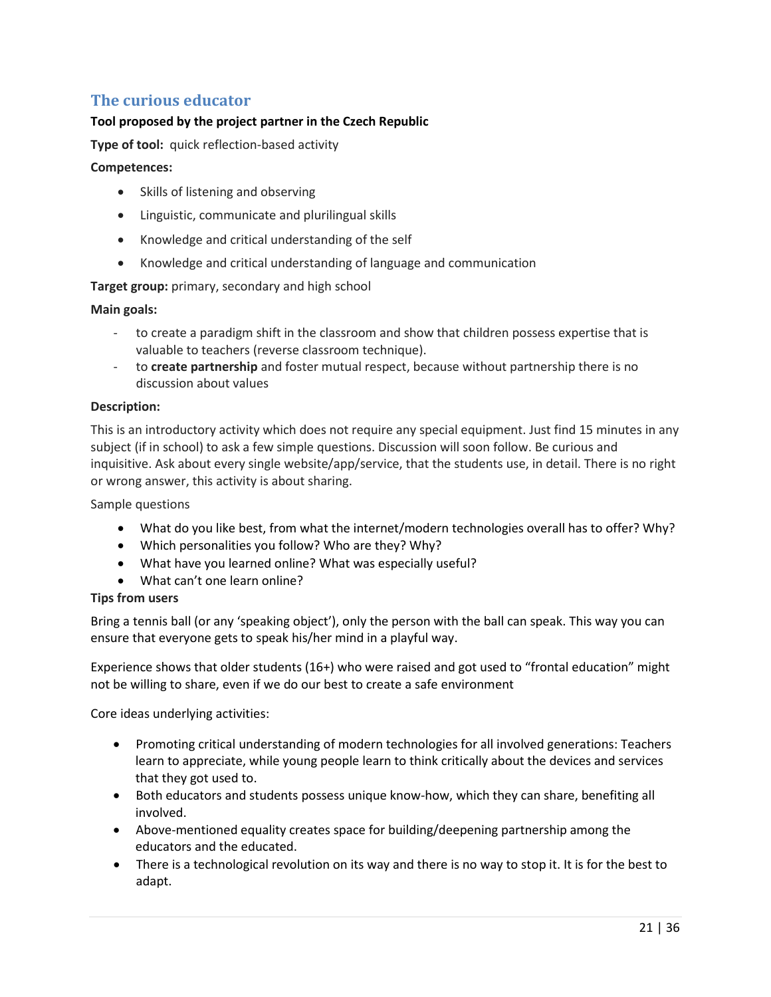# <span id="page-20-0"></span>**The curious educator**

#### **Tool proposed by the project partner in the Czech Republic**

**Type of tool:** quick reflection-based activity

#### **Competences:**

- Skills of listening and observing
- Linguistic, communicate and plurilingual skills
- Knowledge and critical understanding of the self
- Knowledge and critical understanding of language and communication

#### **Target group:** primary, secondary and high school

#### **Main goals:**

- to create a paradigm shift in the classroom and show that children possess expertise that is valuable to teachers (reverse classroom technique).
- to **create partnership** and foster mutual respect, because without partnership there is no discussion about values

#### **Description:**

This is an introductory activity which does not require any special equipment. Just find 15 minutes in any subject (if in school) to ask a few simple questions. Discussion will soon follow. Be curious and inquisitive. Ask about every single website/app/service, that the students use, in detail. There is no right or wrong answer, this activity is about sharing.

Sample questions

- What do you like best, from what the internet/modern technologies overall has to offer? Why?
- Which personalities you follow? Who are they? Why?
- What have you learned online? What was especially useful?
- What can't one learn online?

#### **Tips from users**

Bring a tennis ball (or any 'speaking object'), only the person with the ball can speak. This way you can ensure that everyone gets to speak his/her mind in a playful way.

Experience shows that older students (16+) who were raised and got used to "frontal education" might not be willing to share, even if we do our best to create a safe environment

Core ideas underlying activities:

- Promoting critical understanding of modern technologies for all involved generations: Teachers learn to appreciate, while young people learn to think critically about the devices and services that they got used to.
- Both educators and students possess unique know-how, which they can share, benefiting all involved.
- Above-mentioned equality creates space for building/deepening partnership among the educators and the educated.
- There is a technological revolution on its way and there is no way to stop it. It is for the best to adapt.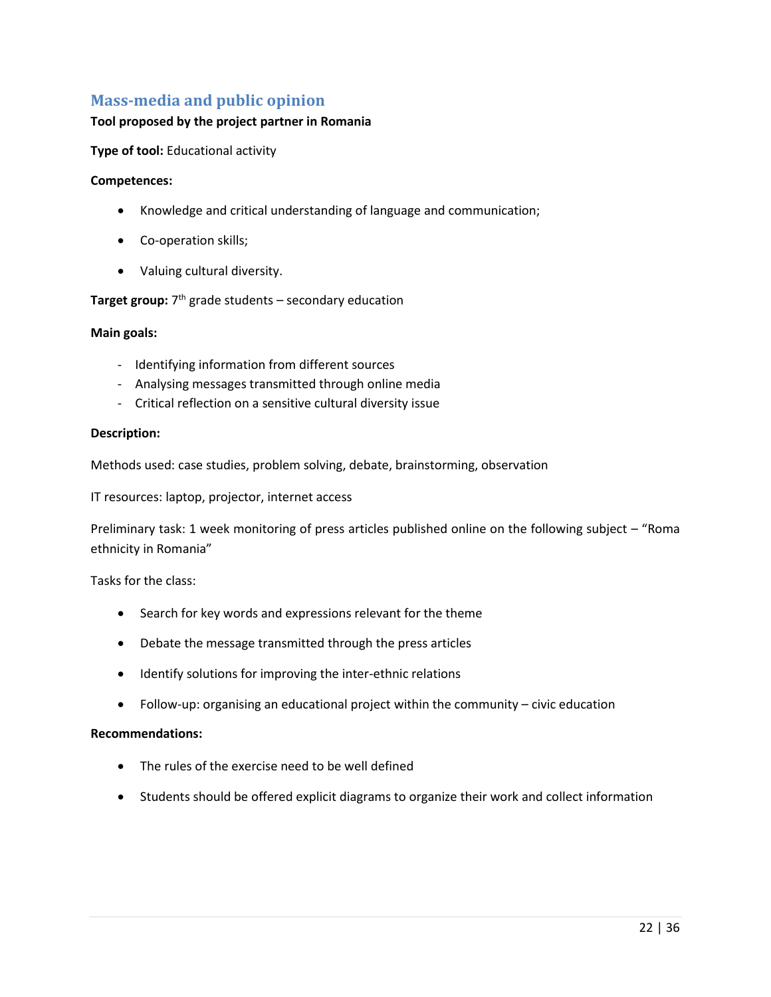# <span id="page-21-0"></span>**Mass-media and public opinion**

#### **Tool proposed by the project partner in Romania**

**Type of tool:** Educational activity

#### **Competences:**

- Knowledge and critical understanding of language and communication;
- Co-operation skills;
- Valuing cultural diversity.

#### **Target group:**  $7<sup>th</sup>$  grade students – secondary education

#### **Main goals:**

- Identifying information from different sources
- Analysing messages transmitted through online media
- Critical reflection on a sensitive cultural diversity issue

#### **Description:**

Methods used: case studies, problem solving, debate, brainstorming, observation

IT resources: laptop, projector, internet access

Preliminary task: 1 week monitoring of press articles published online on the following subject – "Roma ethnicity in Romania"

Tasks for the class:

- Search for key words and expressions relevant for the theme
- Debate the message transmitted through the press articles
- Identify solutions for improving the inter-ethnic relations
- Follow-up: organising an educational project within the community civic education

#### **Recommendations:**

- The rules of the exercise need to be well defined
- Students should be offered explicit diagrams to organize their work and collect information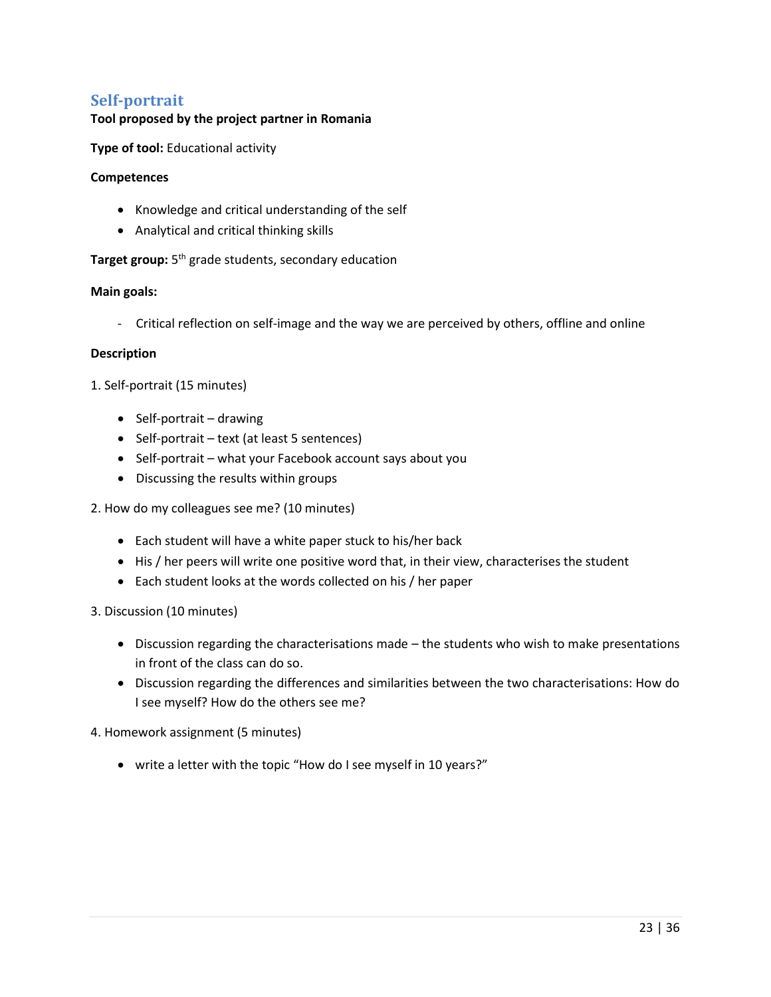### **Self-portrait**

#### **Tool proposed by the project partner in Romania**

**Type of tool:** Educational activity

#### **Competences**

- Knowledge and critical understanding of the self
- Analytical and critical thinking skills

**Target group:** 5<sup>th</sup> grade students, secondary education

#### **Main goals:**

- Critical reflection on self-image and the way we are perceived by others, offline and online

#### **Description**

1. Self-portrait (15 minutes)

- Self-portrait drawing
- Self-portrait text (at least 5 sentences)
- Self-portrait what your Facebook account says about you
- Discussing the results within groups

#### 2. How do my colleagues see me? (10 minutes)

- Each student will have a white paper stuck to his/her back
- His / her peers will write one positive word that, in their view, characterises the student
- Each student looks at the words collected on his / her paper

#### 3. Discussion (10 minutes)

- Discussion regarding the characterisations made the students who wish to make presentations in front of the class can do so.
- Discussion regarding the differences and similarities between the two characterisations: How do I see myself? How do the others see me?

4. Homework assignment (5 minutes)

write a letter with the topic "How do I see myself in 10 years?"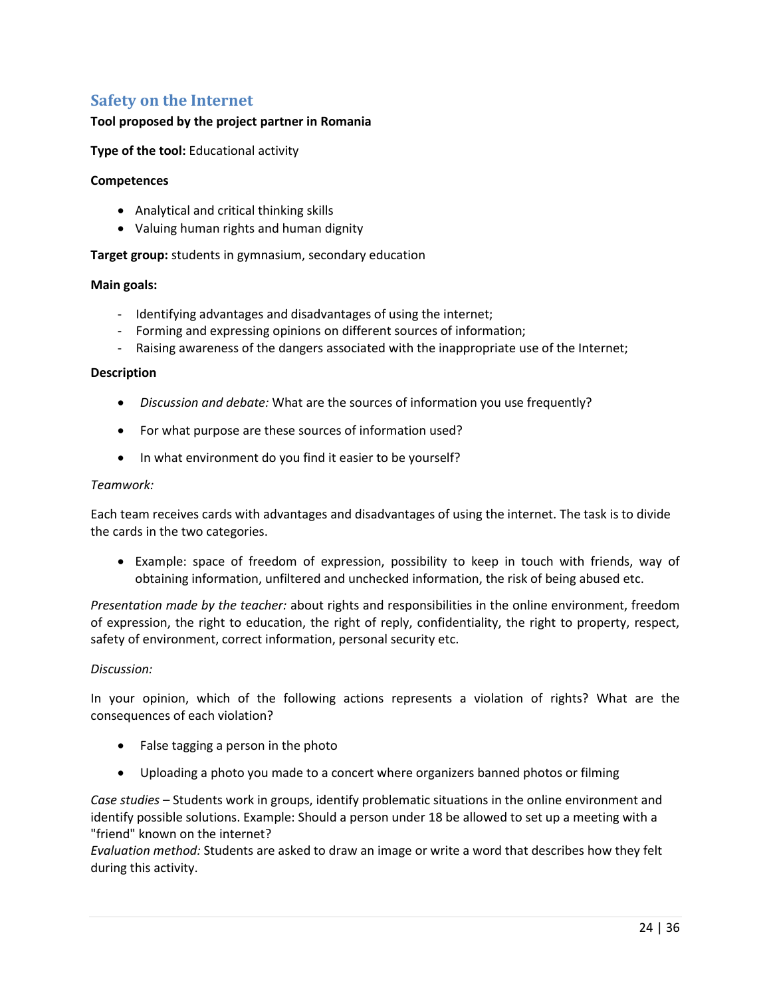# <span id="page-23-0"></span>**Safety on the Internet**

#### **Tool proposed by the project partner in Romania**

**Type of the tool:** Educational activity

#### **Competences**

- Analytical and critical thinking skills
- Valuing human rights and human dignity

**Target group:** students in gymnasium, secondary education

#### **Main goals:**

- Identifying advantages and disadvantages of using the internet;
- Forming and expressing opinions on different sources of information;
- Raising awareness of the dangers associated with the inappropriate use of the Internet;

#### **Description**

- *Discussion and debate:* What are the sources of information you use frequently?
- For what purpose are these sources of information used?
- In what environment do you find it easier to be yourself?

#### *Teamwork:*

Each team receives cards with advantages and disadvantages of using the internet. The task is to divide the cards in the two categories.

 Example: space of freedom of expression, possibility to keep in touch with friends, way of obtaining information, unfiltered and unchecked information, the risk of being abused etc.

*Presentation made by the teacher:* about rights and responsibilities in the online environment, freedom of expression, the right to education, the right of reply, confidentiality, the right to property, respect, safety of environment, correct information, personal security etc.

#### *Discussion:*

In your opinion, which of the following actions represents a violation of rights? What are the consequences of each violation?

- False tagging a person in the photo
- Uploading a photo you made to a concert where organizers banned photos or filming

*Case studies* – Students work in groups, identify problematic situations in the online environment and identify possible solutions. Example: Should a person under 18 be allowed to set up a meeting with a "friend" known on the internet?

*Evaluation method:* Students are asked to draw an image or write a word that describes how they felt during this activity.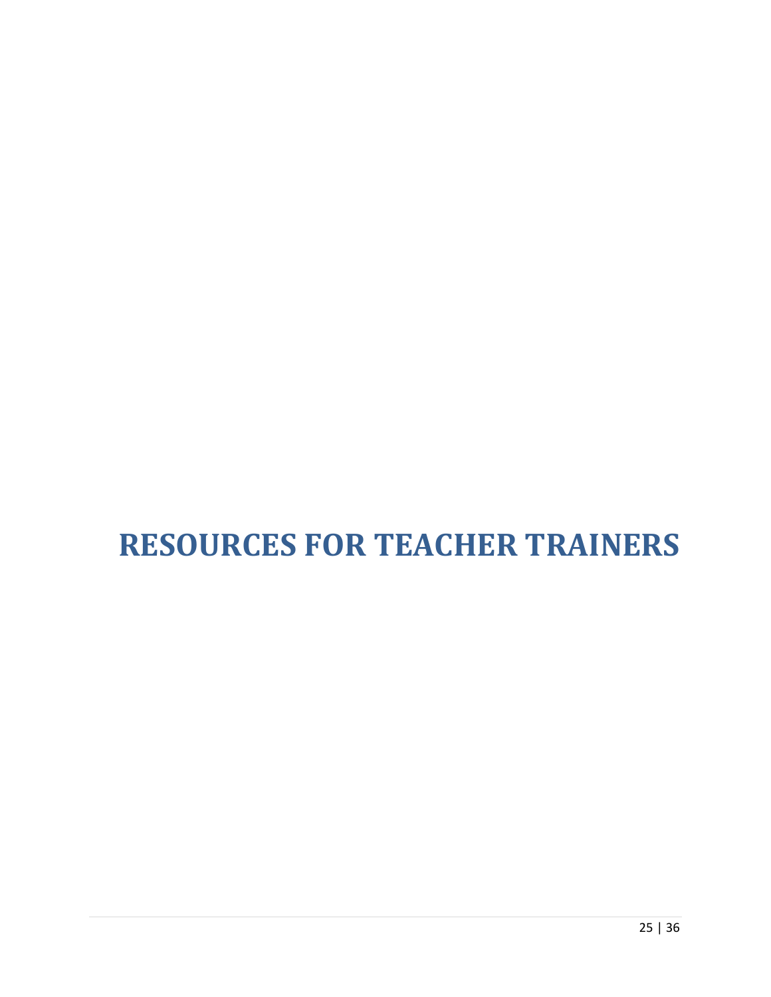# <span id="page-24-0"></span>**RESOURCES FOR TEACHER TRAINERS**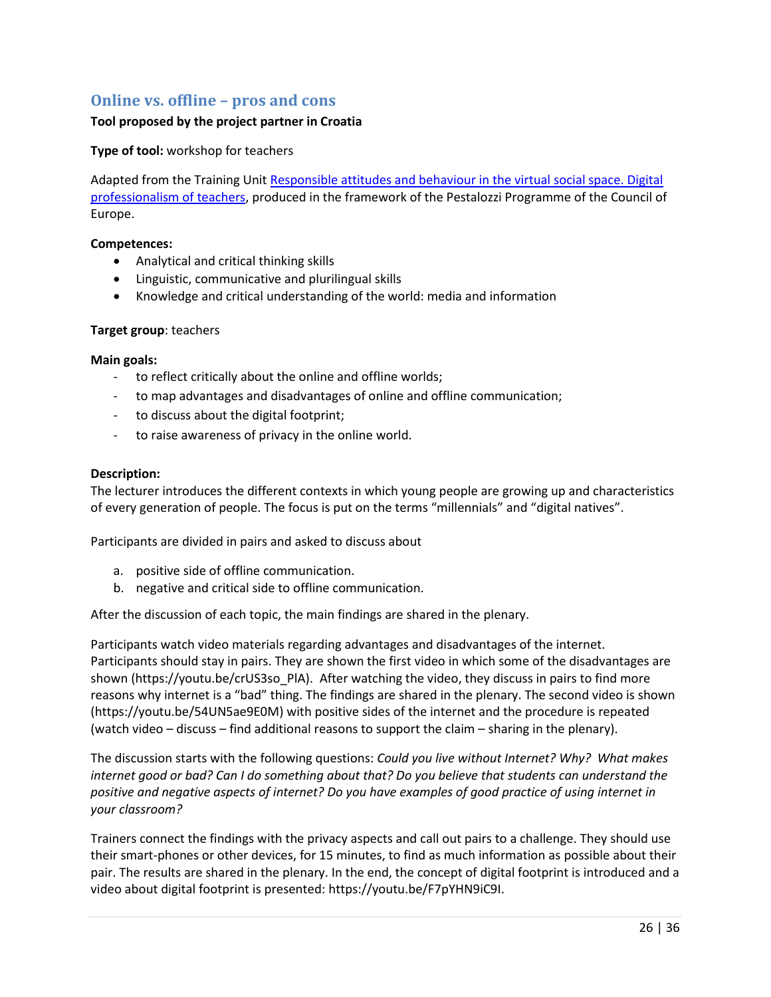# <span id="page-25-0"></span>**Online vs. offline – pros and cons**

#### **Tool proposed by the project partner in Croatia**

#### **Type of tool:** workshop for teachers

Adapted from the Training Unit Responsible attitudes and behaviour in the virtual social space. Digital [professionalism of teachers,](http://www.coe.int/t/dg4/education/pestalozzi/Source/Documentation/TU/TU_RESP_Kralj_EN.pdf) produced in the framework of the Pestalozzi Programme of the Council of Europe.

#### **Competences:**

- Analytical and critical thinking skills
- Linguistic, communicative and plurilingual skills
- Knowledge and critical understanding of the world: media and information

#### **Target group**: teachers

#### **Main goals:**

- to reflect critically about the online and offline worlds;
- to map advantages and disadvantages of online and offline communication;
- to discuss about the digital footprint;
- to raise awareness of privacy in the online world.

#### **Description:**

The lecturer introduces the different contexts in which young people are growing up and characteristics of every generation of people. The focus is put on the terms "millennials" and "digital natives".

Participants are divided in pairs and asked to discuss about

- a. positive side of offline communication.
- b. negative and critical side to offline communication.

After the discussion of each topic, the main findings are shared in the plenary.

Participants watch video materials regarding advantages and disadvantages of the internet. Participants should stay in pairs. They are shown the first video in which some of the disadvantages are shown [\(https://youtu.be/crUS3so\\_PlA\)](https://youtu.be/crUS3so_PlA). After watching the video, they discuss in pairs to find more reasons why internet is a "bad" thing. The findings are shared in the plenary. The second video is shown [\(https://youtu.be/54UN5ae9E0M\)](https://youtu.be/54UN5ae9E0M) with positive sides of the internet and the procedure is repeated (watch video – discuss – find additional reasons to support the claim – sharing in the plenary).

The discussion starts with the following questions: *Could you live without Internet? Why? What makes internet good or bad? Can I do something about that? Do you believe that students can understand the positive and negative aspects of internet? Do you have examples of good practice of using internet in your classroom?*

Trainers connect the findings with the privacy aspects and call out pairs to a challenge. They should use their smart-phones or other devices, for 15 minutes, to find as much information as possible about their pair. The results are shared in the plenary. In the end, the concept of digital footprint is introduced and a video about digital footprint is presented: [https://youtu.be/F7pYHN9iC9I.](https://youtu.be/F7pYHN9iC9I)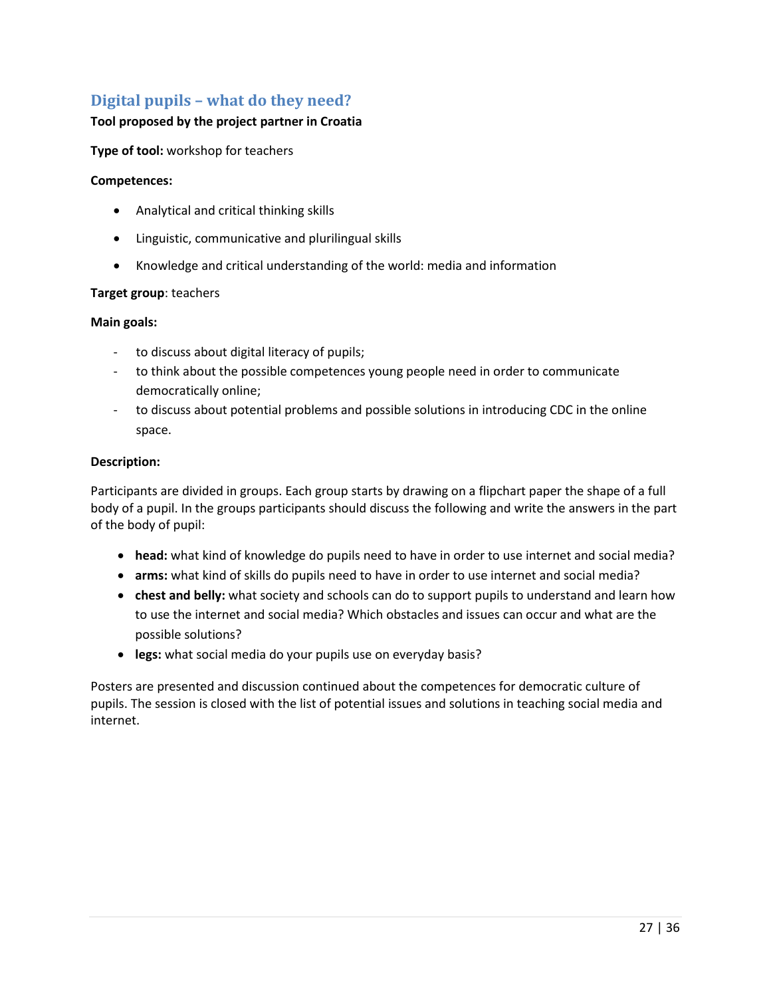# <span id="page-26-0"></span>**Digital pupils – what do they need?**

#### **Tool proposed by the project partner in Croatia**

**Type of tool:** workshop for teachers

#### **Competences:**

- Analytical and critical thinking skills
- Linguistic, communicative and plurilingual skills
- Knowledge and critical understanding of the world: media and information

#### **Target group**: teachers

#### **Main goals:**

- to discuss about digital literacy of pupils;
- to think about the possible competences young people need in order to communicate democratically online;
- to discuss about potential problems and possible solutions in introducing CDC in the online space.

#### **Description:**

Participants are divided in groups. Each group starts by drawing on a flipchart paper the shape of a full body of a pupil. In the groups participants should discuss the following and write the answers in the part of the body of pupil:

- **head:** what kind of knowledge do pupils need to have in order to use internet and social media?
- **arms:** what kind of skills do pupils need to have in order to use internet and social media?
- **chest and belly:** what society and schools can do to support pupils to understand and learn how to use the internet and social media? Which obstacles and issues can occur and what are the possible solutions?
- **legs:** what social media do your pupils use on everyday basis?

Posters are presented and discussion continued about the competences for democratic culture of pupils. The session is closed with the list of potential issues and solutions in teaching social media and internet.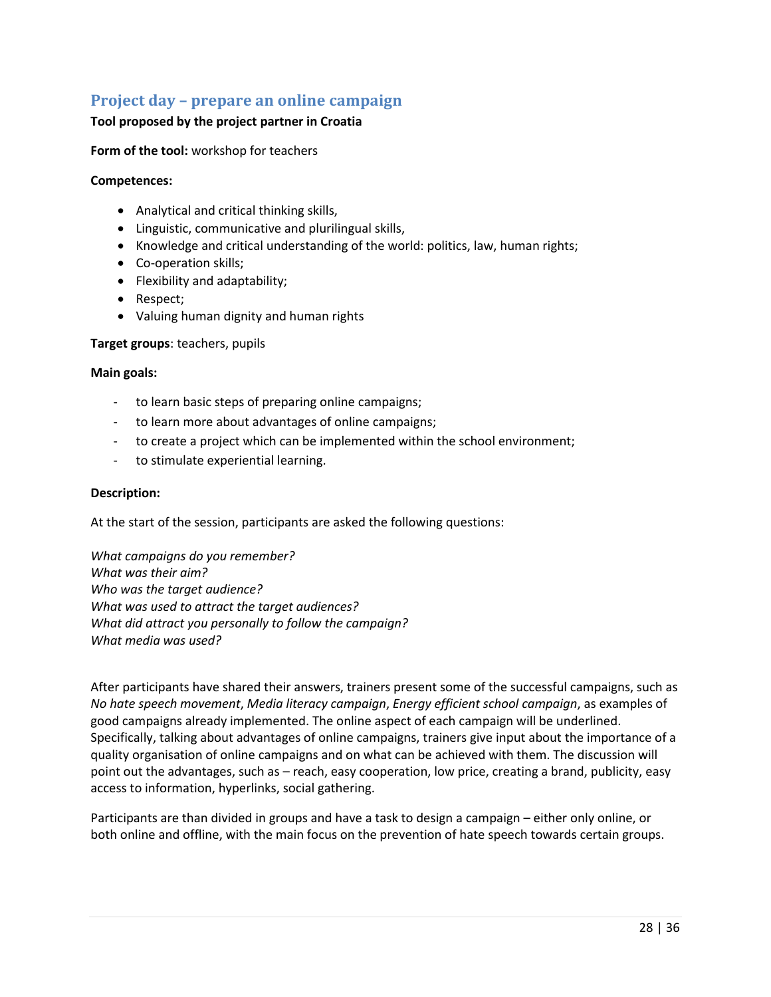# <span id="page-27-0"></span>**Project day – prepare an online campaign**

#### **Tool proposed by the project partner in Croatia**

**Form of the tool:** workshop for teachers

#### **Competences:**

- Analytical and critical thinking skills,
- Linguistic, communicative and plurilingual skills,
- Knowledge and critical understanding of the world: politics, law, human rights;
- Co-operation skills;
- Flexibility and adaptability;
- Respect;
- Valuing human dignity and human rights

#### **Target groups**: teachers, pupils

#### **Main goals:**

- to learn basic steps of preparing online campaigns;
- to learn more about advantages of online campaigns;
- to create a project which can be implemented within the school environment;
- to stimulate experiential learning.

#### **Description:**

At the start of the session, participants are asked the following questions:

*What campaigns do you remember? What was their aim? Who was the target audience? What was used to attract the target audiences? What did attract you personally to follow the campaign? What media was used?*

After participants have shared their answers, trainers present some of the successful campaigns, such as *No hate speech movement*, *Media literacy campaign*, *Energy efficient school campaign*, as examples of good campaigns already implemented. The online aspect of each campaign will be underlined. Specifically, talking about advantages of online campaigns, trainers give input about the importance of a quality organisation of online campaigns and on what can be achieved with them. The discussion will point out the advantages, such as – reach, easy cooperation, low price, creating a brand, publicity, easy access to information, hyperlinks, social gathering.

Participants are than divided in groups and have a task to design a campaign – either only online, or both online and offline, with the main focus on the prevention of hate speech towards certain groups.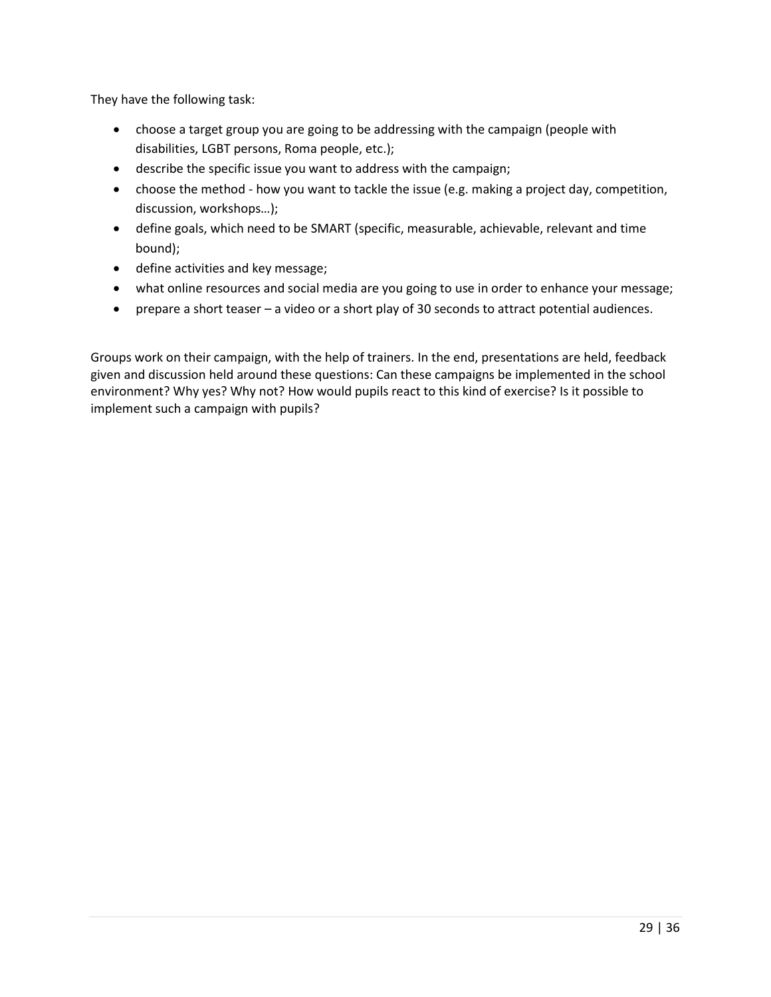They have the following task:

- choose a target group you are going to be addressing with the campaign (people with disabilities, LGBT persons, Roma people, etc.);
- describe the specific issue you want to address with the campaign;
- choose the method how you want to tackle the issue (e.g. making a project day, competition, discussion, workshops…);
- define goals, which need to be SMART (specific, measurable, achievable, relevant and time bound);
- define activities and key message;
- what online resources and social media are you going to use in order to enhance your message;
- prepare a short teaser a video or a short play of 30 seconds to attract potential audiences.

Groups work on their campaign, with the help of trainers. In the end, presentations are held, feedback given and discussion held around these questions: Can these campaigns be implemented in the school environment? Why yes? Why not? How would pupils react to this kind of exercise? Is it possible to implement such a campaign with pupils?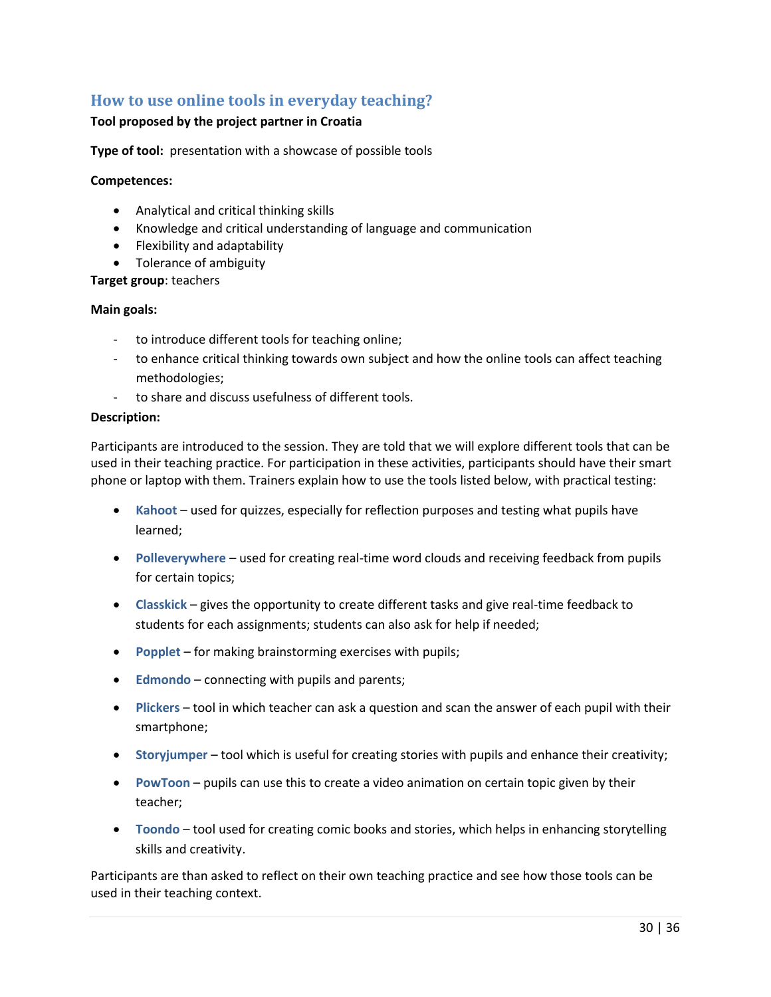# <span id="page-29-0"></span>**How to use online tools in everyday teaching?**

#### **Tool proposed by the project partner in Croatia**

**Type of tool:** presentation with a showcase of possible tools

#### **Competences:**

- Analytical and critical thinking skills
- Knowledge and critical understanding of language and communication
- Flexibility and adaptability
- Tolerance of ambiguity

#### **Target group**: teachers

#### **Main goals:**

- to introduce different tools for teaching online;
- to enhance critical thinking towards own subject and how the online tools can affect teaching methodologies;
- to share and discuss usefulness of different tools.

#### **Description:**

Participants are introduced to the session. They are told that we will explore different tools that can be used in their teaching practice. For participation in these activities, participants should have their smart phone or laptop with them. Trainers explain how to use the tools listed below, with practical testing:

- **Kahoot** used for quizzes, especially for reflection purposes and testing what pupils have learned;
- **•** Polleverywhere used for creating real-time word clouds and receiving feedback from pupils for certain topics;
- **Classkick** gives the opportunity to create different tasks and give real-time feedback to students for each assignments; students can also ask for help if needed;
- **Popplet**  for making brainstorming exercises with pupils;
- **Edmondo**  connecting with pupils and parents;
- **Plickers** tool in which teacher can ask a question and scan the answer of each pupil with their smartphone;
- **Storyjumper**  tool which is useful for creating stories with pupils and enhance their creativity;
- **PowToon** pupils can use this to create a video animation on certain topic given by their teacher;
- **Toondo** tool used for creating comic books and stories, which helps in enhancing storytelling skills and creativity.

Participants are than asked to reflect on their own teaching practice and see how those tools can be used in their teaching context.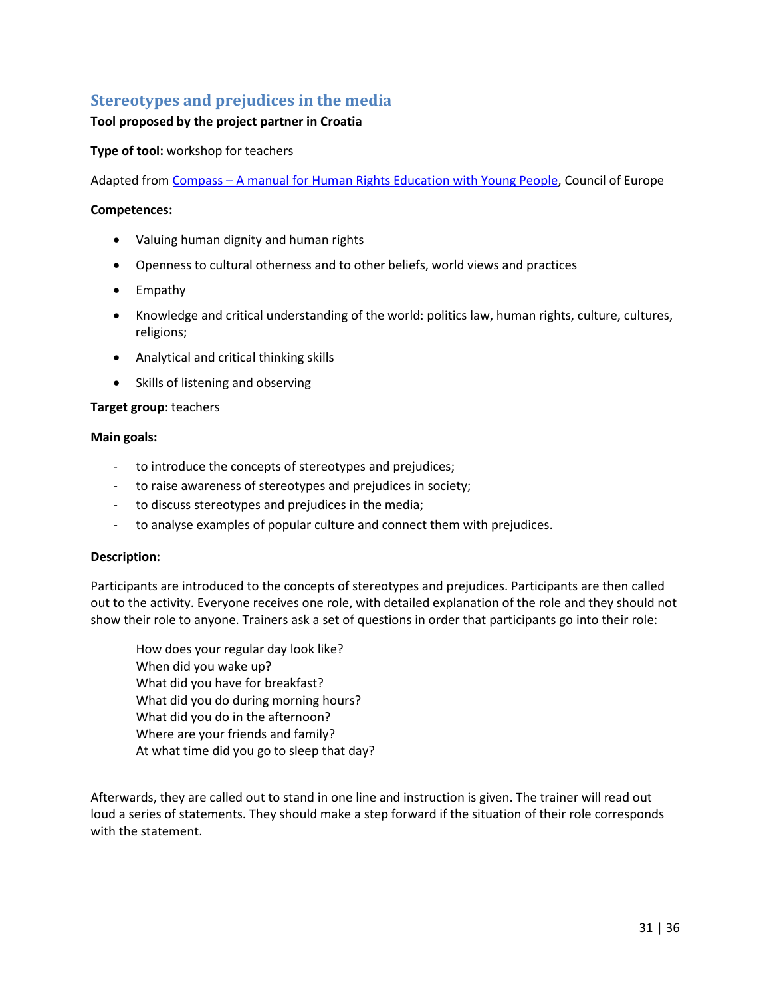# <span id="page-30-0"></span>**Stereotypes and prejudices in the media**

#### **Tool proposed by the project partner in Croatia**

**Type of tool:** workshop for teachers

Adapted from Compass - [A manual for Human Rights Education with Young People,](http://www.coe.int/compass) Council of Europe

#### **Competences:**

- Valuing human dignity and human rights
- Openness to cultural otherness and to other beliefs, world views and practices
- Empathy
- Knowledge and critical understanding of the world: politics law, human rights, culture, cultures, religions;
- Analytical and critical thinking skills
- Skills of listening and observing

#### **Target group**: teachers

#### **Main goals:**

- to introduce the concepts of stereotypes and prejudices;
- to raise awareness of stereotypes and prejudices in society;
- to discuss stereotypes and prejudices in the media;
- to analyse examples of popular culture and connect them with prejudices.

#### **Description:**

Participants are introduced to the concepts of stereotypes and prejudices. Participants are then called out to the activity. Everyone receives one role, with detailed explanation of the role and they should not show their role to anyone. Trainers ask a set of questions in order that participants go into their role:

How does your regular day look like? When did you wake up? What did you have for breakfast? What did you do during morning hours? What did you do in the afternoon? Where are your friends and family? At what time did you go to sleep that day?

Afterwards, they are called out to stand in one line and instruction is given. The trainer will read out loud a series of statements. They should make a step forward if the situation of their role corresponds with the statement.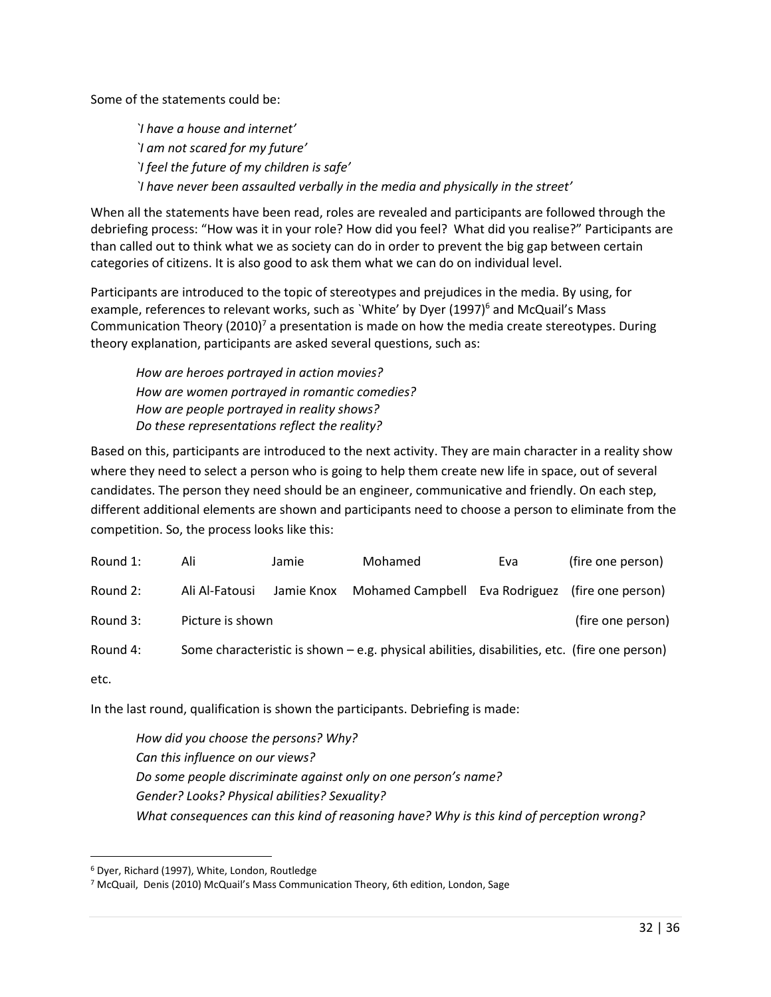Some of the statements could be:

*`I have a house and internet' `I am not scared for my future' `I feel the future of my children is safe' `I have never been assaulted verbally in the media and physically in the street'*

When all the statements have been read, roles are revealed and participants are followed through the debriefing process: "How was it in your role? How did you feel? What did you realise?" Participants are than called out to think what we as society can do in order to prevent the big gap between certain categories of citizens. It is also good to ask them what we can do on individual level.

Participants are introduced to the topic of stereotypes and prejudices in the media. By using, for example, references to relevant works, such as `White' by Dyer (1997)<sup>6</sup> and McQuail's Mass Communication Theory  $(2010)^7$  a presentation is made on how the media create stereotypes. During theory explanation, participants are asked several questions, such as:

*How are heroes portrayed in action movies? How are women portrayed in romantic comedies? How are people portrayed in reality shows? Do these representations reflect the reality?* 

Based on this, participants are introduced to the next activity. They are main character in a reality show where they need to select a person who is going to help them create new life in space, out of several candidates. The person they need should be an engineer, communicative and friendly. On each step, different additional elements are shown and participants need to choose a person to eliminate from the competition. So, the process looks like this:

| Round 1: | Ali              | Jamie      | Mohamed                                                                                      | Eva | (fire one person) |
|----------|------------------|------------|----------------------------------------------------------------------------------------------|-----|-------------------|
| Round 2: | Ali Al-Fatousi   | Jamie Knox | Mohamed Campbell Eva Rodriguez (fire one person)                                             |     |                   |
| Round 3: | Picture is shown |            |                                                                                              |     | (fire one person) |
| Round 4: |                  |            | Some characteristic is shown – e.g. physical abilities, disabilities, etc. (fire one person) |     |                   |

etc.

 $\overline{a}$ 

In the last round, qualification is shown the participants. Debriefing is made:

*How did you choose the persons? Why? Can this influence on our views? Do some people discriminate against only on one person's name? Gender? Looks? Physical abilities? Sexuality? What consequences can this kind of reasoning have? Why is this kind of perception wrong?* 

<sup>6</sup> Dyer, Richard (1997), White, London, Routledge

<sup>7</sup> McQuail, Denis (2010) McQuail's Mass Communication Theory, 6th edition, London, Sage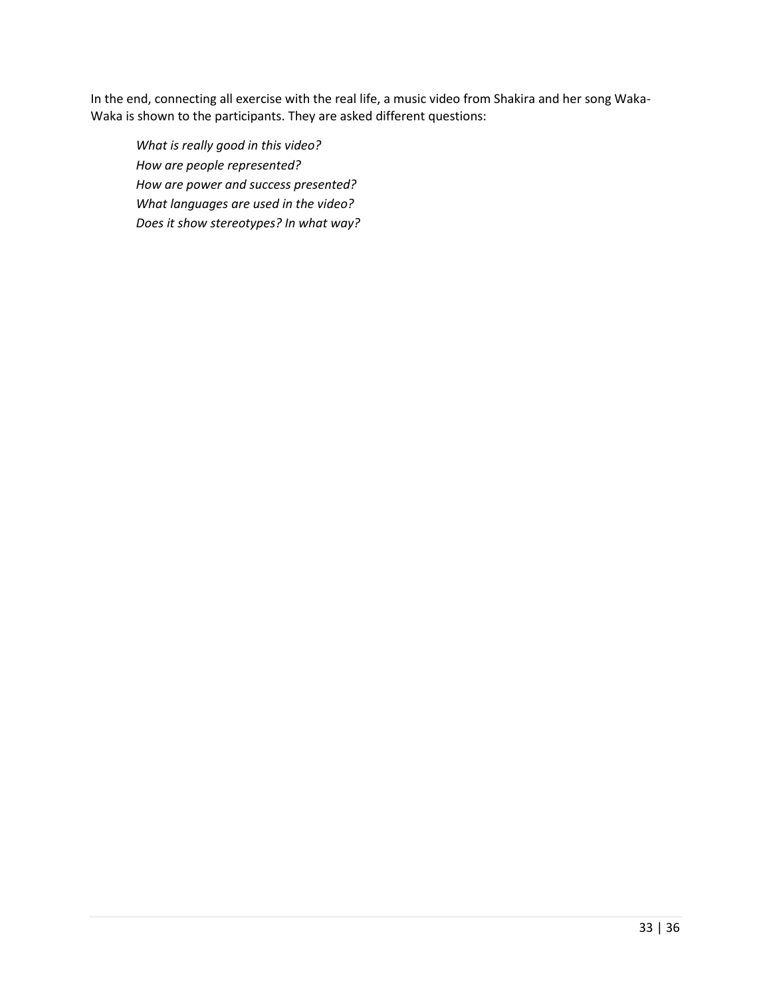In the end, connecting all exercise with the real life, a music video from Shakira and her song Waka-Waka is shown to the participants. They are asked different questions:

*What is really good in this video? How are people represented? How are power and success presented? What languages are used in the video? Does it show stereotypes? In what way?*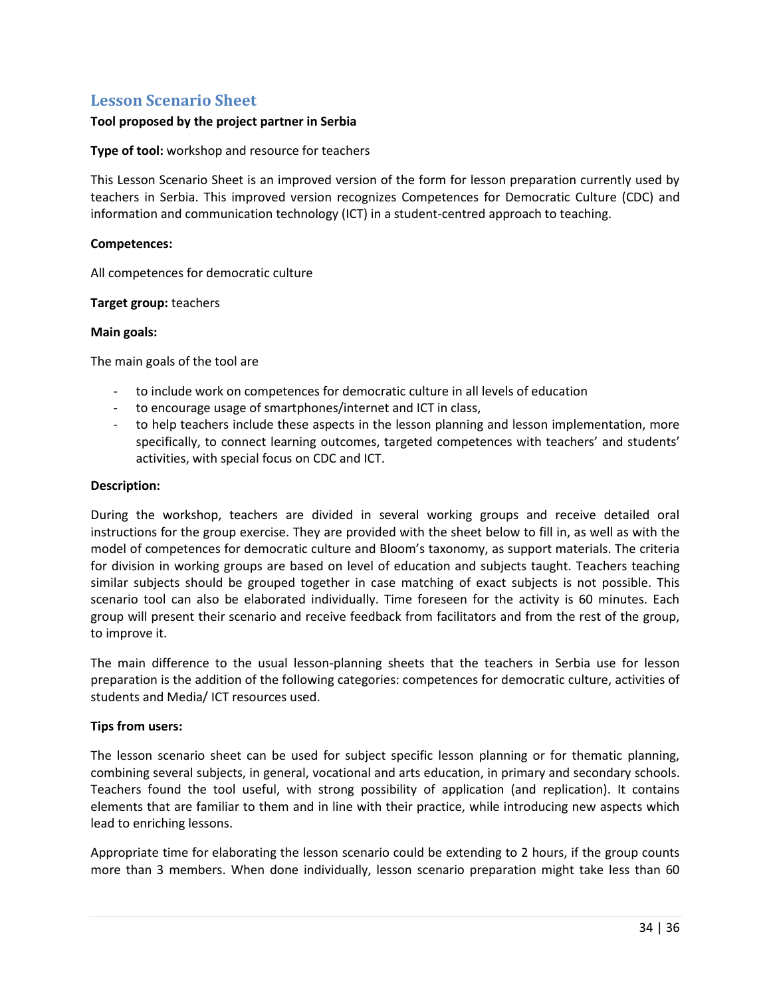### <span id="page-33-0"></span>**Lesson Scenario Sheet**

#### **Tool proposed by the project partner in Serbia**

#### **Type of tool:** workshop and resource for teachers

This Lesson Scenario Sheet is an improved version of the form for lesson preparation currently used by teachers in Serbia. This improved version recognizes Competences for Democratic Culture (CDC) and information and communication technology (ICT) in a student-centred approach to teaching.

#### **Competences:**

All competences for democratic culture

#### **Target group:** teachers

#### **Main goals:**

The main goals of the tool are

- to include work on competences for democratic culture in all levels of education
- to encourage usage of smartphones/internet and ICT in class,
- to help teachers include these aspects in the lesson planning and lesson implementation, more specifically, to connect learning outcomes, targeted competences with teachers' and students' activities, with special focus on CDC and ICT.

#### **Description:**

During the workshop, teachers are divided in several working groups and receive detailed oral instructions for the group exercise. They are provided with the sheet below to fill in, as well as with the model of competences for democratic culture and Bloom's taxonomy, as support materials. The criteria for division in working groups are based on level of education and subjects taught. Teachers teaching similar subjects should be grouped together in case matching of exact subjects is not possible. This scenario tool can also be elaborated individually. Time foreseen for the activity is 60 minutes. Each group will present their scenario and receive feedback from facilitators and from the rest of the group, to improve it.

The main difference to the usual lesson-planning sheets that the teachers in Serbia use for lesson preparation is the addition of the following categories: competences for democratic culture, activities of students and Media/ ICT resources used.

#### **Tips from users:**

The lesson scenario sheet can be used for subject specific lesson planning or for thematic planning, combining several subjects, in general, vocational and arts education, in primary and secondary schools. Teachers found the tool useful, with strong possibility of application (and replication). It contains elements that are familiar to them and in line with their practice, while introducing new aspects which lead to enriching lessons.

Appropriate time for elaborating the lesson scenario could be extending to 2 hours, if the group counts more than 3 members. When done individually, lesson scenario preparation might take less than 60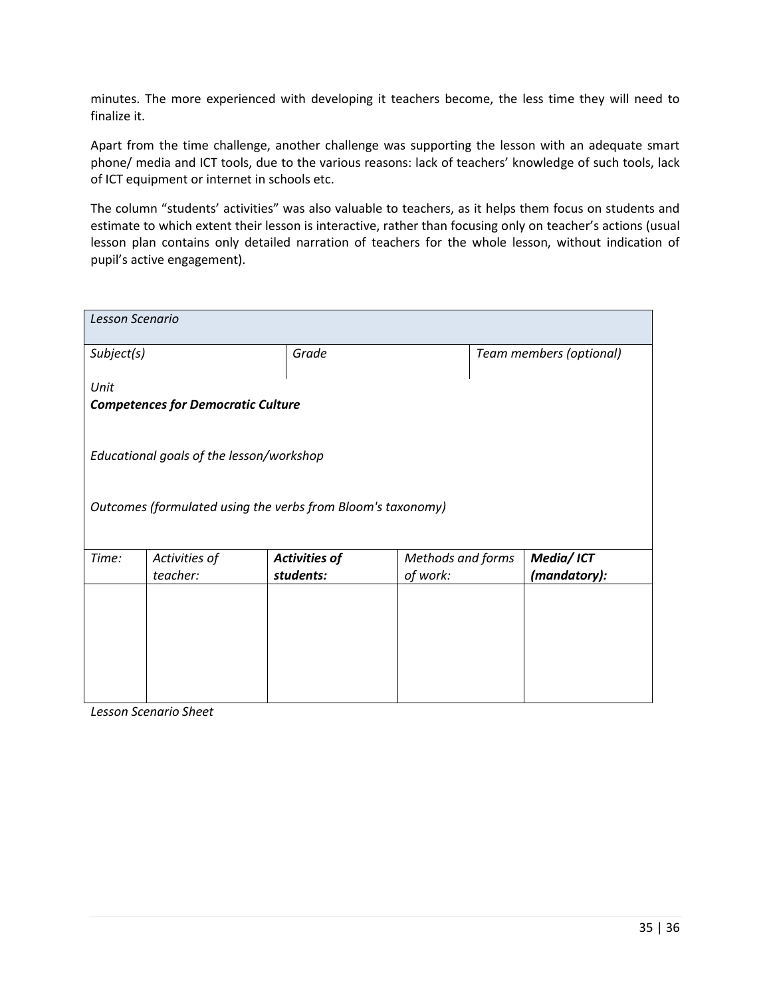minutes. The more experienced with developing it teachers become, the less time they will need to finalize it.

Apart from the time challenge, another challenge was supporting the lesson with an adequate smart phone/ media and ICT tools, due to the various reasons: lack of teachers' knowledge of such tools, lack of ICT equipment or internet in schools etc.

The column "students' activities" was also valuable to teachers, as it helps them focus on students and estimate to which extent their lesson is interactive, rather than focusing only on teacher's actions (usual lesson plan contains only detailed narration of teachers for the whole lesson, without indication of pupil's active engagement).

| Lesson Scenario |                                                             |                                   |                               |  |                           |  |  |  |
|-----------------|-------------------------------------------------------------|-----------------------------------|-------------------------------|--|---------------------------|--|--|--|
| Subject(s)      |                                                             | Grade                             |                               |  | Team members (optional)   |  |  |  |
| Unit            | <b>Competences for Democratic Culture</b>                   |                                   |                               |  |                           |  |  |  |
|                 | Educational goals of the lesson/workshop                    |                                   |                               |  |                           |  |  |  |
|                 | Outcomes (formulated using the verbs from Bloom's taxonomy) |                                   |                               |  |                           |  |  |  |
| Time:           | Activities of<br>teacher:                                   | <b>Activities of</b><br>students: | Methods and forms<br>of work: |  | Media/ICT<br>(mandatory): |  |  |  |
|                 |                                                             |                                   |                               |  |                           |  |  |  |
|                 |                                                             |                                   |                               |  |                           |  |  |  |
|                 |                                                             |                                   |                               |  |                           |  |  |  |

*Lesson Scenario Sheet*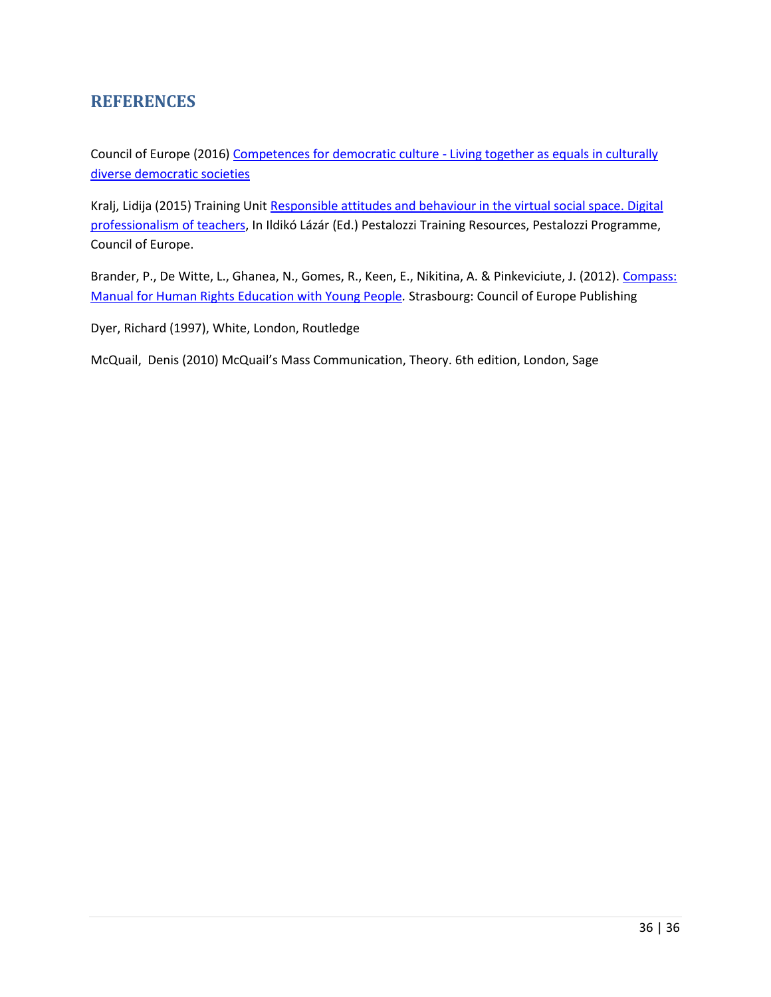# <span id="page-35-0"></span>**REFERENCES**

Council of Europe (2016) [Competences for democratic culture -](http://rm.coe.int/CoERMPublicCommonSearchServices/DisplayDCTMContent?documentId=09000016806ccc07) Living together as equals in culturally [diverse democratic societies](http://rm.coe.int/CoERMPublicCommonSearchServices/DisplayDCTMContent?documentId=09000016806ccc07)

Kralj, Lidija (2015) Training Unit [Responsible attitudes and behaviour in the virtual social space.](http://www.coe.int/t/dg4/education/pestalozzi/Source/Documentation/TU/TU_RESP_Kralj_EN.pdf) Digital [professionalism of teachers,](http://www.coe.int/t/dg4/education/pestalozzi/Source/Documentation/TU/TU_RESP_Kralj_EN.pdf) In Ildikó Lázár (Ed.) Pestalozzi Training Resources, Pestalozzi Programme, Council of Europe.

Brander, P., De Witte, L., Ghanea, N., Gomes, R., Keen, E., Nikitina, A. & Pinkeviciute, J. (2012). Compass: [Manual for Human Rights Education with Young People](http://www.coe.int/compass)*.* Strasbourg: Council of Europe Publishing

Dyer, Richard (1997), White, London, Routledge

McQuail, Denis (2010) McQuail's Mass Communication, Theory. 6th edition, London, Sage